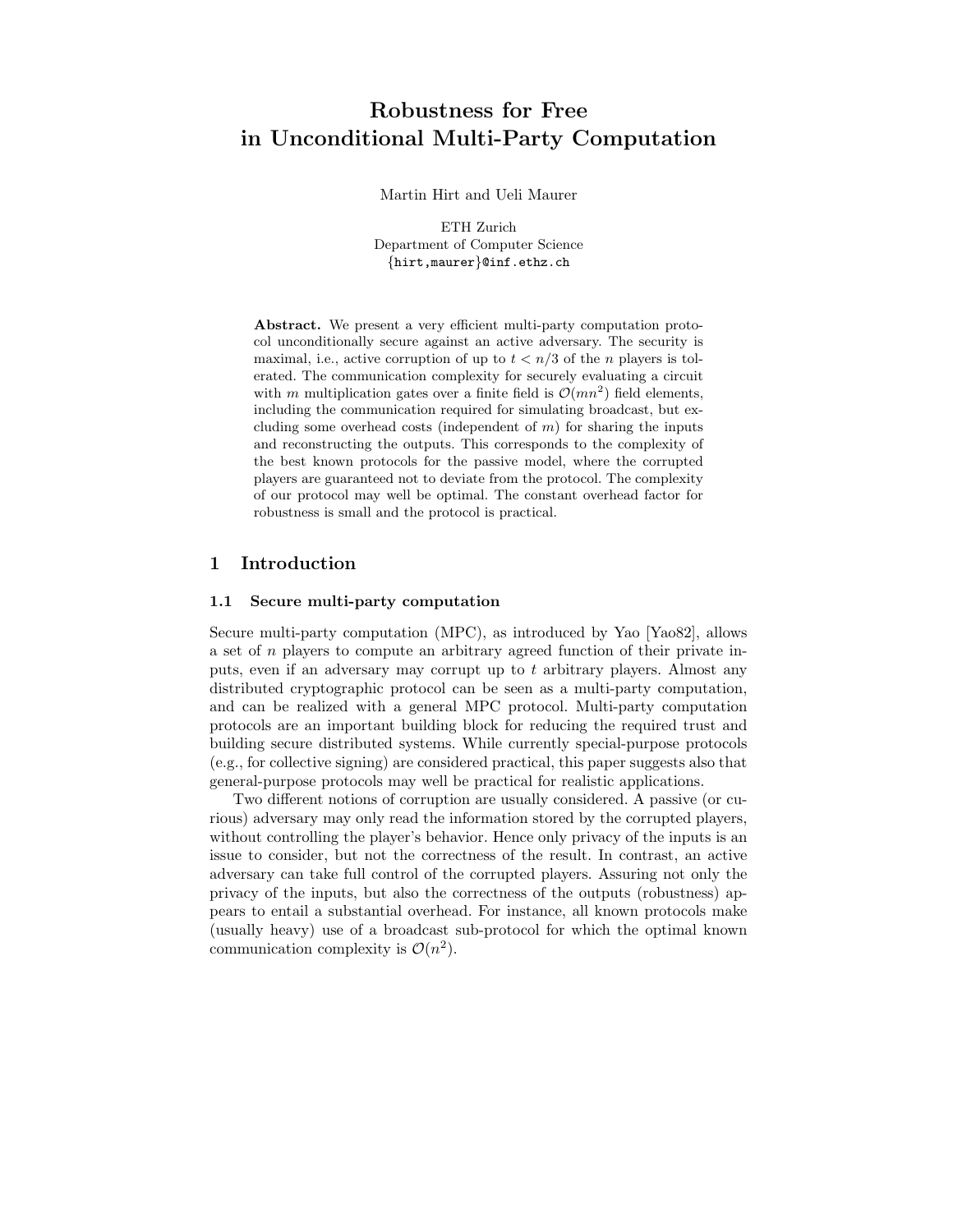# Robustness for Free in Unconditional Multi-Party Computation

Martin Hirt and Ueli Maurer

ETH Zurich Department of Computer Science {hirt,maurer}@inf.ethz.ch

Abstract. We present a very efficient multi-party computation protocol unconditionally secure against an active adversary. The security is maximal, i.e., active corruption of up to  $t < n/3$  of the *n* players is tolerated. The communication complexity for securely evaluating a circuit with m multiplication gates over a finite field is  $\mathcal{O}(mn^2)$  field elements, including the communication required for simulating broadcast, but excluding some overhead costs (independent of  $m$ ) for sharing the inputs and reconstructing the outputs. This corresponds to the complexity of the best known protocols for the passive model, where the corrupted players are guaranteed not to deviate from the protocol. The complexity of our protocol may well be optimal. The constant overhead factor for robustness is small and the protocol is practical.

# 1 Introduction

#### 1.1 Secure multi-party computation

Secure multi-party computation (MPC), as introduced by Yao [Yao82], allows a set of n players to compute an arbitrary agreed function of their private inputs, even if an adversary may corrupt up to t arbitrary players. Almost any distributed cryptographic protocol can be seen as a multi-party computation, and can be realized with a general MPC protocol. Multi-party computation protocols are an important building block for reducing the required trust and building secure distributed systems. While currently special-purpose protocols (e.g., for collective signing) are considered practical, this paper suggests also that general-purpose protocols may well be practical for realistic applications.

Two different notions of corruption are usually considered. A passive (or curious) adversary may only read the information stored by the corrupted players, without controlling the player's behavior. Hence only privacy of the inputs is an issue to consider, but not the correctness of the result. In contrast, an active adversary can take full control of the corrupted players. Assuring not only the privacy of the inputs, but also the correctness of the outputs (robustness) appears to entail a substantial overhead. For instance, all known protocols make (usually heavy) use of a broadcast sub-protocol for which the optimal known communication complexity is  $\mathcal{O}(n^2)$ .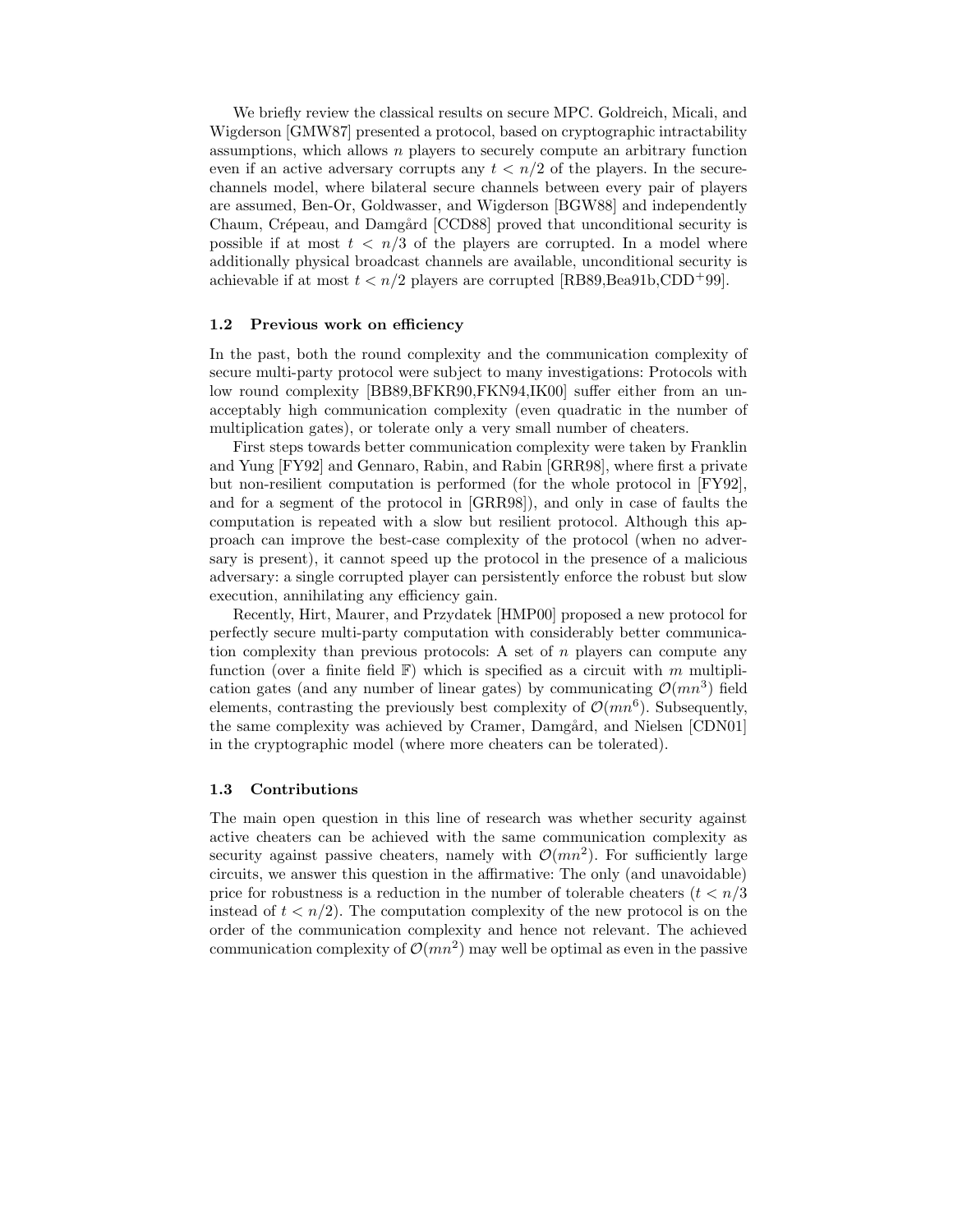We briefly review the classical results on secure MPC. Goldreich, Micali, and Wigderson [GMW87] presented a protocol, based on cryptographic intractability assumptions, which allows n players to securely compute an arbitrary function even if an active adversary corrupts any  $t < n/2$  of the players. In the securechannels model, where bilateral secure channels between every pair of players are assumed, Ben-Or, Goldwasser, and Wigderson [BGW88] and independently Chaum, Crépeau, and Damgård [CCD88] proved that unconditional security is possible if at most  $t < n/3$  of the players are corrupted. In a model where additionally physical broadcast channels are available, unconditional security is achievable if at most  $t < n/2$  players are corrupted [RB89,Bea91b,CDD<sup>+</sup>99].

#### 1.2 Previous work on efficiency

In the past, both the round complexity and the communication complexity of secure multi-party protocol were subject to many investigations: Protocols with low round complexity [BB89,BFKR90,FKN94,IK00] suffer either from an unacceptably high communication complexity (even quadratic in the number of multiplication gates), or tolerate only a very small number of cheaters.

First steps towards better communication complexity were taken by Franklin and Yung [FY92] and Gennaro, Rabin, and Rabin [GRR98], where first a private but non-resilient computation is performed (for the whole protocol in [FY92], and for a segment of the protocol in [GRR98]), and only in case of faults the computation is repeated with a slow but resilient protocol. Although this approach can improve the best-case complexity of the protocol (when no adversary is present), it cannot speed up the protocol in the presence of a malicious adversary: a single corrupted player can persistently enforce the robust but slow execution, annihilating any efficiency gain.

Recently, Hirt, Maurer, and Przydatek [HMP00] proposed a new protocol for perfectly secure multi-party computation with considerably better communication complexity than previous protocols: A set of n players can compute any function (over a finite field  $\mathbb{F}$ ) which is specified as a circuit with m multiplication gates (and any number of linear gates) by communicating  $\mathcal{O}(mn^3)$  field elements, contrasting the previously best complexity of  $\mathcal{O}(mn^6)$ . Subsequently, the same complexity was achieved by Cramer, Damgård, and Nielsen [CDN01] in the cryptographic model (where more cheaters can be tolerated).

#### 1.3 Contributions

The main open question in this line of research was whether security against active cheaters can be achieved with the same communication complexity as security against passive cheaters, namely with  $\mathcal{O}(mn^2)$ . For sufficiently large circuits, we answer this question in the affirmative: The only (and unavoidable) price for robustness is a reduction in the number of tolerable cheaters  $(t < n/3$ instead of  $t < n/2$ . The computation complexity of the new protocol is on the order of the communication complexity and hence not relevant. The achieved communication complexity of  $\mathcal{O}(mn^2)$  may well be optimal as even in the passive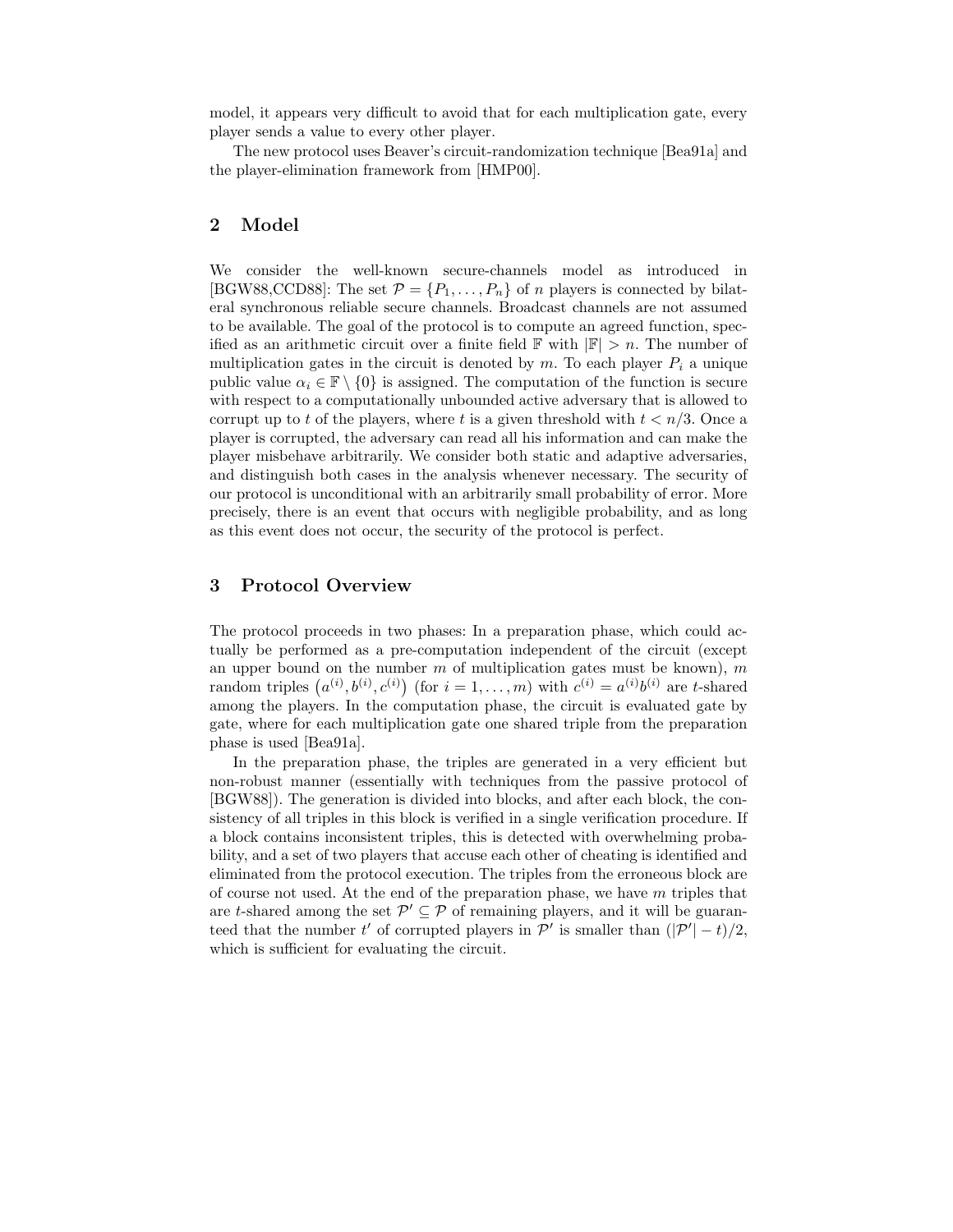model, it appears very difficult to avoid that for each multiplication gate, every player sends a value to every other player.

The new protocol uses Beaver's circuit-randomization technique [Bea91a] and the player-elimination framework from [HMP00].

# 2 Model

We consider the well-known secure-channels model as introduced in [BGW88,CCD88]: The set  $\mathcal{P} = \{P_1, \ldots, P_n\}$  of *n* players is connected by bilateral synchronous reliable secure channels. Broadcast channels are not assumed to be available. The goal of the protocol is to compute an agreed function, specified as an arithmetic circuit over a finite field  $\mathbb F$  with  $|\mathbb F| > n$ . The number of multiplication gates in the circuit is denoted by  $m$ . To each player  $P_i$  a unique public value  $\alpha_i \in \mathbb{F} \setminus \{0\}$  is assigned. The computation of the function is secure with respect to a computationally unbounded active adversary that is allowed to corrupt up to t of the players, where t is a given threshold with  $t < n/3$ . Once a player is corrupted, the adversary can read all his information and can make the player misbehave arbitrarily. We consider both static and adaptive adversaries, and distinguish both cases in the analysis whenever necessary. The security of our protocol is unconditional with an arbitrarily small probability of error. More precisely, there is an event that occurs with negligible probability, and as long as this event does not occur, the security of the protocol is perfect.

# 3 Protocol Overview

The protocol proceeds in two phases: In a preparation phase, which could actually be performed as a pre-computation independent of the circuit (except an upper bound on the number  $m$  of multiplication gates must be known),  $m$ random triples  $(a^{(i)}, b^{(i)}, c^{(i)})$  (for  $i = 1, \ldots, m$ ) with  $c^{(i)} = a^{(i)}b^{(i)}$  are t-shared among the players. In the computation phase, the circuit is evaluated gate by gate, where for each multiplication gate one shared triple from the preparation phase is used [Bea91a].

In the preparation phase, the triples are generated in a very efficient but non-robust manner (essentially with techniques from the passive protocol of [BGW88]). The generation is divided into blocks, and after each block, the consistency of all triples in this block is verified in a single verification procedure. If a block contains inconsistent triples, this is detected with overwhelming probability, and a set of two players that accuse each other of cheating is identified and eliminated from the protocol execution. The triples from the erroneous block are of course not used. At the end of the preparation phase, we have  $m$  triples that are t-shared among the set  $\mathcal{P}' \subseteq \mathcal{P}$  of remaining players, and it will be guaranteed that the number t' of corrupted players in  $\overline{P}'$  is smaller than  $(|P'|-t)/2$ , which is sufficient for evaluating the circuit.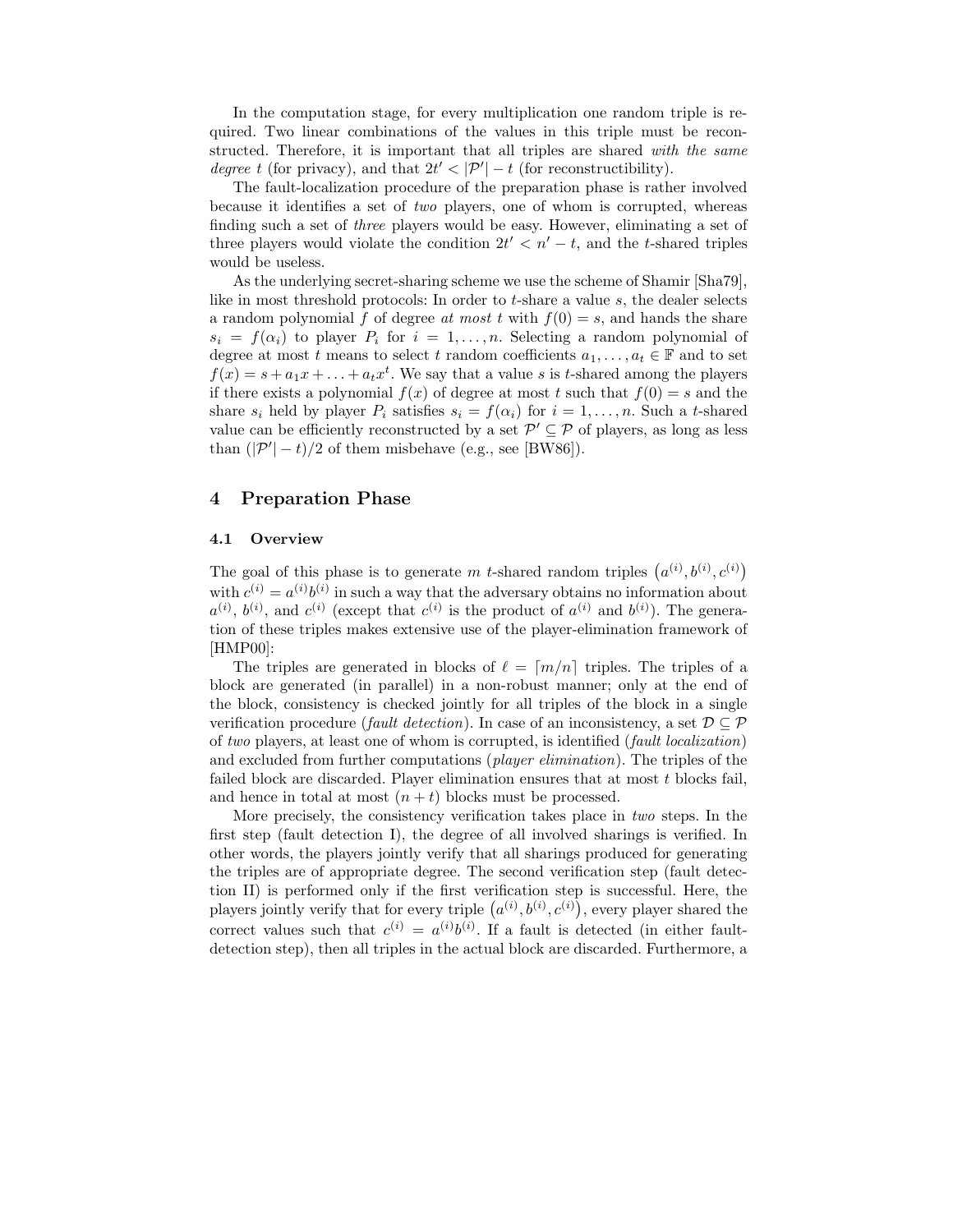In the computation stage, for every multiplication one random triple is required. Two linear combinations of the values in this triple must be reconstructed. Therefore, it is important that all triples are shared with the same degree t (for privacy), and that  $2t' < |\mathcal{P}'| - t$  (for reconstructibility).

The fault-localization procedure of the preparation phase is rather involved because it identifies a set of two players, one of whom is corrupted, whereas finding such a set of three players would be easy. However, eliminating a set of three players would violate the condition  $2t' < n' - t$ , and the t-shared triples would be useless.

As the underlying secret-sharing scheme we use the scheme of Shamir [Sha79], like in most threshold protocols: In order to  $t$ -share a value  $s$ , the dealer selects a random polynomial f of degree at most t with  $f(0) = s$ , and hands the share  $s_i = f(\alpha_i)$  to player  $P_i$  for  $i = 1, \ldots, n$ . Selecting a random polynomial of degree at most t means to select t random coefficients  $a_1, \ldots, a_t \in \mathbb{F}$  and to set  $f(x) = s + a_1x + \ldots + a_tx^t$ . We say that a value s is t-shared among the players if there exists a polynomial  $f(x)$  of degree at most t such that  $f(0) = s$  and the share  $s_i$  held by player  $P_i$  satisfies  $s_i = f(\alpha_i)$  for  $i = 1, \ldots, n$ . Such a t-shared value can be efficiently reconstructed by a set  $\mathcal{P}' \subseteq \mathcal{P}$  of players, as long as less than  $(|\mathcal{P}'|-t)/2$  of them misbehave (e.g., see [BW86]).

# 4 Preparation Phase

#### 4.1 Overview

The goal of this phase is to generate m t-shared random triples  $(a^{(i)}, b^{(i)}, c^{(i)})$ with  $c^{(i)} = a^{(i)}b^{(i)}$  in such a way that the adversary obtains no information about  $a^{(i)}$ ,  $b^{(i)}$ , and  $c^{(i)}$  (except that  $c^{(i)}$  is the product of  $a^{(i)}$  and  $b^{(i)}$ ). The generation of these triples makes extensive use of the player-elimination framework of [HMP00]:

The triples are generated in blocks of  $\ell = \lceil m/n \rceil$  triples. The triples of a block are generated (in parallel) in a non-robust manner; only at the end of the block, consistency is checked jointly for all triples of the block in a single verification procedure (fault detection). In case of an inconsistency, a set  $\mathcal{D} \subset \mathcal{P}$ of two players, at least one of whom is corrupted, is identified (fault localization) and excluded from further computations (player elimination). The triples of the failed block are discarded. Player elimination ensures that at most t blocks fail, and hence in total at most  $(n + t)$  blocks must be processed.

More precisely, the consistency verification takes place in two steps. In the first step (fault detection I), the degree of all involved sharings is verified. In other words, the players jointly verify that all sharings produced for generating the triples are of appropriate degree. The second verification step (fault detection II) is performed only if the first verification step is successful. Here, the players jointly verify that for every triple  $(a^{(i)}, b^{(i)}, c^{(i)})$ , every player shared the correct values such that  $c^{(i)} = a^{(i)}b^{(i)}$ . If a fault is detected (in either faultdetection step), then all triples in the actual block are discarded. Furthermore, a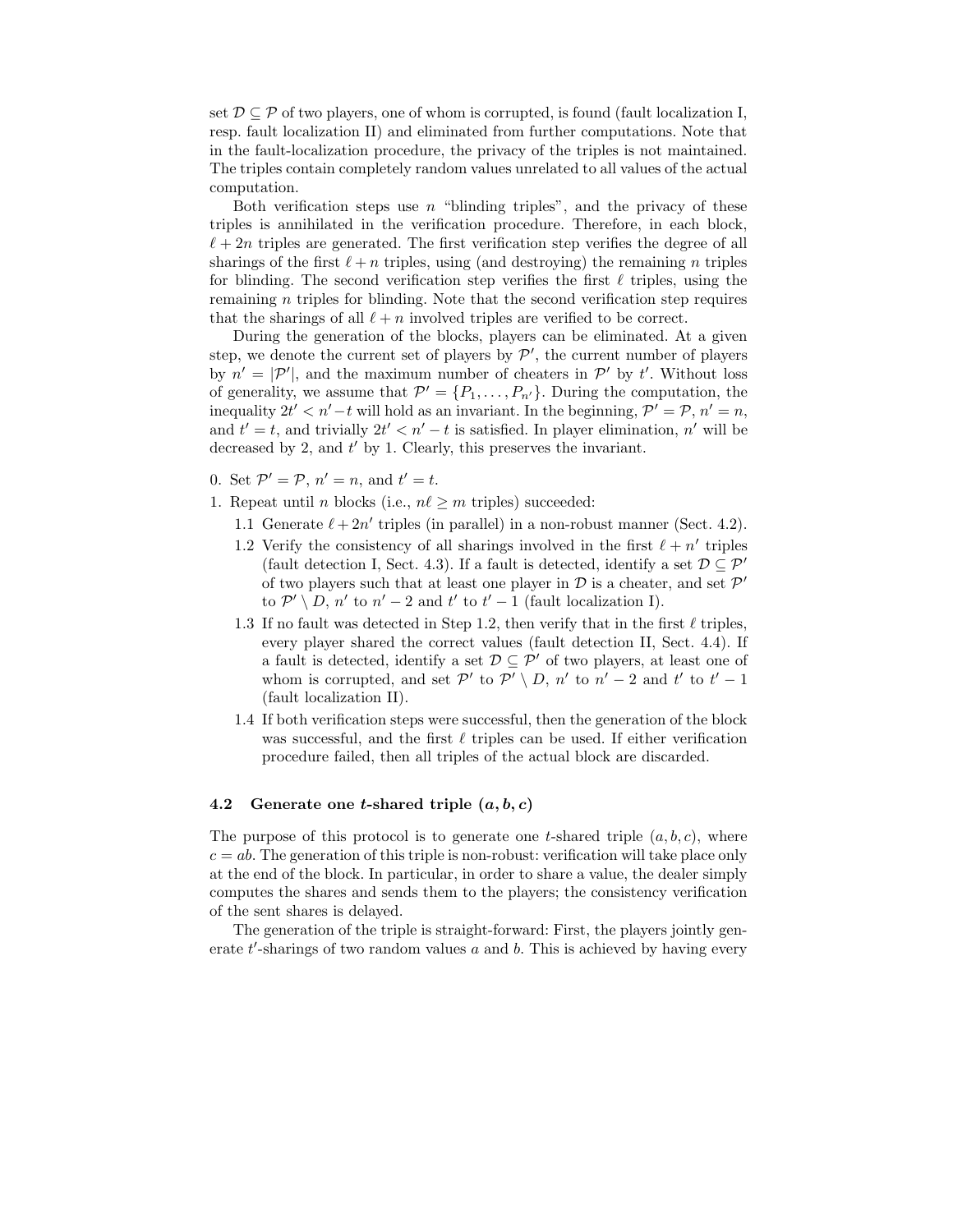set  $\mathcal{D} \subset \mathcal{P}$  of two players, one of whom is corrupted, is found (fault localization I, resp. fault localization II) and eliminated from further computations. Note that in the fault-localization procedure, the privacy of the triples is not maintained. The triples contain completely random values unrelated to all values of the actual computation.

Both verification steps use  $n$  "blinding triples", and the privacy of these triples is annihilated in the verification procedure. Therefore, in each block,  $\ell + 2n$  triples are generated. The first verification step verifies the degree of all sharings of the first  $\ell + n$  triples, using (and destroying) the remaining n triples for blinding. The second verification step verifies the first  $\ell$  triples, using the remaining n triples for blinding. Note that the second verification step requires that the sharings of all  $\ell + n$  involved triples are verified to be correct.

During the generation of the blocks, players can be eliminated. At a given step, we denote the current set of players by  $\mathcal{P}'$ , the current number of players by  $n' = |\mathcal{P}'|$ , and the maximum number of cheaters in  $\mathcal{P}'$  by t'. Without loss of generality, we assume that  $\mathcal{P}' = \{P_1, \ldots, P_{n'}\}$ . During the computation, the inequality  $2t' < n'-t$  will hold as an invariant. In the beginning,  $\mathcal{P}' = \mathcal{P}$ ,  $n' = n$ , and  $t' = t$ , and trivially  $2t' < n' - t$  is satisfied. In player elimination, n' will be decreased by 2, and  $t'$  by 1. Clearly, this preserves the invariant.

- 0. Set  $\mathcal{P}' = \mathcal{P}$ ,  $n' = n$ , and  $t' = t$ .
- 1. Repeat until *n* blocks (i.e.,  $n\ell \geq m$  triples) succeeded:
	- 1.1 Generate  $\ell + 2n'$  triples (in parallel) in a non-robust manner (Sect. 4.2).
	- 1.2 Verify the consistency of all sharings involved in the first  $\ell + n'$  triples (fault detection I, Sect. 4.3). If a fault is detected, identify a set  $\mathcal{D} \subseteq \mathcal{P}'$ of two players such that at least one player in  $D$  is a cheater, and set  $\mathcal{P}'$ to  $\mathcal{P}' \setminus D$ , n' to  $n' - 2$  and t' to  $t' - 1$  (fault localization I).
	- 1.3 If no fault was detected in Step 1.2, then verify that in the first  $\ell$  triples, every player shared the correct values (fault detection II, Sect. 4.4). If a fault is detected, identify a set  $\mathcal{D} \subseteq \mathcal{P}'$  of two players, at least one of whom is corrupted, and set  $\mathcal{P}'$  to  $\mathcal{P}' \setminus D$ , n' to  $n' - 2$  and t' to  $t' - 1$ (fault localization II).
	- 1.4 If both verification steps were successful, then the generation of the block was successful, and the first  $\ell$  triples can be used. If either verification procedure failed, then all triples of the actual block are discarded.

#### 4.2 Generate one *t*-shared triple  $(a, b, c)$

The purpose of this protocol is to generate one t-shared triple  $(a, b, c)$ , where  $c = ab$ . The generation of this triple is non-robust: verification will take place only at the end of the block. In particular, in order to share a value, the dealer simply computes the shares and sends them to the players; the consistency verification of the sent shares is delayed.

The generation of the triple is straight-forward: First, the players jointly generate  $t'$ -sharings of two random values a and b. This is achieved by having every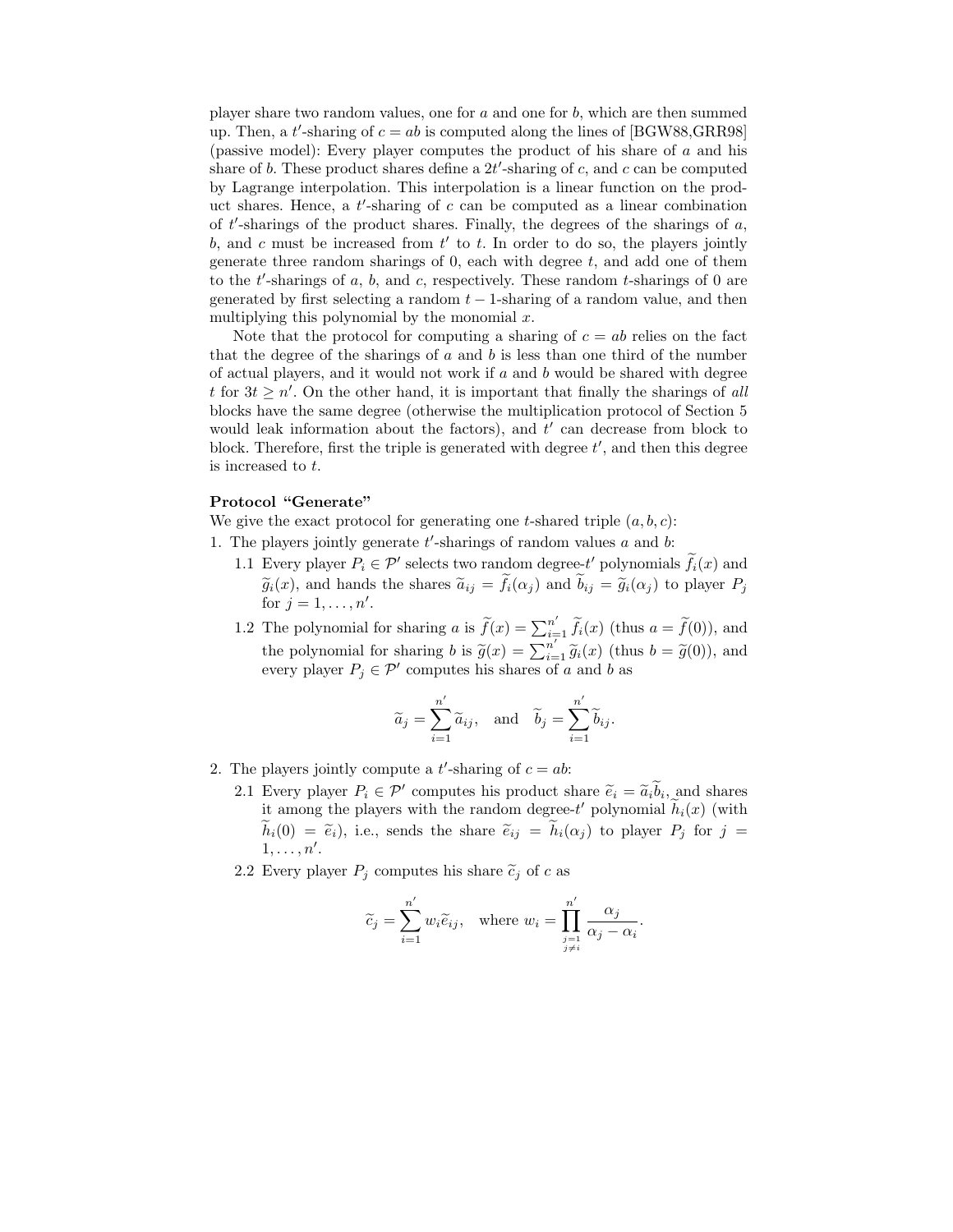player share two random values, one for  $a$  and one for  $b$ , which are then summed up. Then, a t'-sharing of  $c = ab$  is computed along the lines of [BGW88,GRR98] (passive model): Every player computes the product of his share of a and his share of b. These product shares define a  $2t'$ -sharing of c, and c can be computed by Lagrange interpolation. This interpolation is a linear function on the product shares. Hence, a  $t'$ -sharing of  $c$  can be computed as a linear combination of  $t'$ -sharings of the product shares. Finally, the degrees of the sharings of  $a$ , b, and c must be increased from  $t'$  to t. In order to do so, the players jointly generate three random sharings of 0, each with degree  $t$ , and add one of them to the  $t'$ -sharings of  $a, b$ , and  $c$ , respectively. These random  $t$ -sharings of 0 are generated by first selecting a random  $t - 1$ -sharing of a random value, and then multiplying this polynomial by the monomial  $x$ .

Note that the protocol for computing a sharing of  $c = ab$  relies on the fact that the degree of the sharings of  $a$  and  $b$  is less than one third of the number of actual players, and it would not work if  $a$  and  $b$  would be shared with degree t for  $3t \geq n'$ . On the other hand, it is important that finally the sharings of all blocks have the same degree (otherwise the multiplication protocol of Section 5 would leak information about the factors), and  $t'$  can decrease from block to block. Therefore, first the triple is generated with degree  $t'$ , and then this degree is increased to t.

#### Protocol "Generate"

We give the exact protocol for generating one t-shared triple  $(a, b, c)$ :

- 1. The players jointly generate  $t'$ -sharings of random values  $a$  and  $b$ :
	- 1.1 Every player  $P_i \in \mathcal{P}'$  selects two random degree-t' polynomials  $\widetilde{f}_i(x)$  and  $\widetilde{g}_i(x)$ , and hands the shares  $\widetilde{a}_{ij} = \widetilde{f}_i(\alpha_j)$  and  $\widetilde{b}_{ij} = \widetilde{g}_i(\alpha_j)$  to player  $P_j$ for  $j = 1, \ldots, n'$ .
	- 1.2 The polynomial for sharing a is  $\tilde{f}(x) = \sum_{i=1}^{n'} \tilde{f}_i(x)$  (thus  $a = \tilde{f}(0)$ ), and the polynomial for sharing b is  $\widetilde{g}(x) = \sum_{i=1}^{n'} \widetilde{g}_i(x)$  (thus  $b = \widetilde{g}(0)$ ), and every player  $P_j \in \mathcal{P}'$  computes his shares of a and b as

$$
\widetilde{a}_j = \sum_{i=1}^{n'} \widetilde{a}_{ij}
$$
, and  $\widetilde{b}_j = \sum_{i=1}^{n'} \widetilde{b}_{ij}$ .

- 2. The players jointly compute a  $t'$ -sharing of  $c = ab$ :
	- 2.1 Every player  $P_i \in \mathcal{P}'$  computes his product share  $\widetilde{e}_i = \widetilde{a}_i \widetilde{b}_i$ , and shares it among the players with the random degree-t' polynomial  $\widetilde{h}_i(x)$  (with  $\widetilde{h}_i(0) = \widetilde{e}_i$ , i.e., sends the share  $\widetilde{e}_{ij} = \widetilde{h}_i(\alpha_j)$  to player  $P_j$  for  $j =$  $1, \ldots, n'$ .
	- 2.2 Every player  $P_j$  computes his share  $\tilde{c}_j$  of c as

$$
\widetilde{c}_j = \sum_{i=1}^{n'} w_i \widetilde{e}_{ij}, \text{ where } w_i = \prod_{\substack{j=1 \ j \neq i}}^{n'} \frac{\alpha_j}{\alpha_j - \alpha_i}.
$$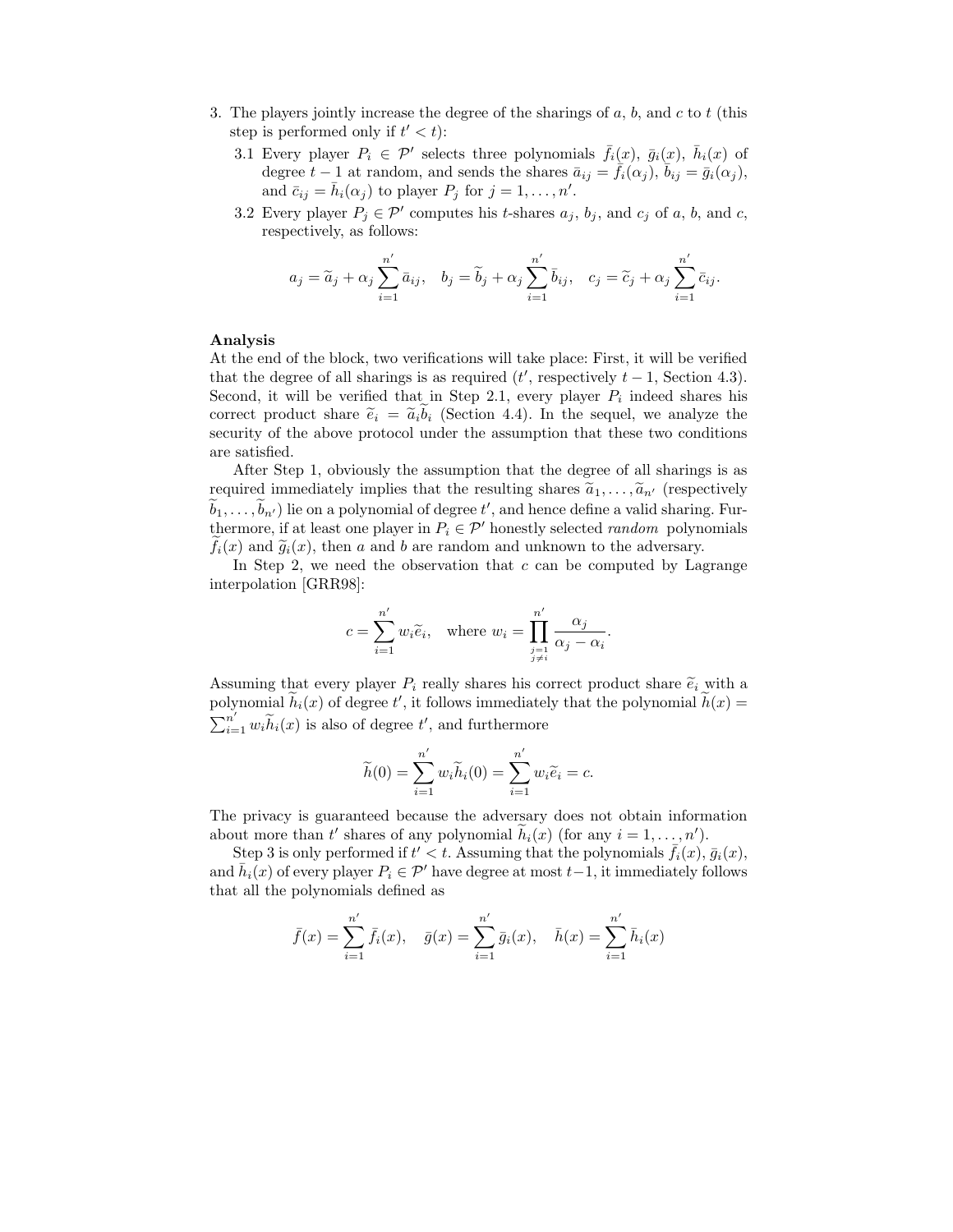- 3. The players jointly increase the degree of the sharings of  $a, b$ , and  $c$  to  $t$  (this step is performed only if  $t' < t$ :
	- 3.1 Every player  $P_i \in \mathcal{P}'$  selects three polynomials  $\bar{f}_i(x)$ ,  $\bar{g}_i(x)$ ,  $\bar{h}_i(x)$  of degree  $t-1$  at random, and sends the shares  $\bar{a}_{ij} = \bar{f}_i(\alpha_j)$ ,  $\bar{b}_{ij} = \bar{g}_i(\alpha_j)$ , and  $\bar{c}_{ij} = \bar{h}_i(\alpha_j)$  to player  $P_j$  for  $j = 1, \ldots, n'$ .
	- 3.2 Every player  $P_j \in \mathcal{P}'$  computes his t-shares  $a_j$ ,  $b_j$ , and  $c_j$  of a, b, and c, respectively, as follows:

$$
a_j = \widetilde{a}_j + \alpha_j \sum_{i=1}^{n'} \bar{a}_{ij}, \quad b_j = \widetilde{b}_j + \alpha_j \sum_{i=1}^{n'} \bar{b}_{ij}, \quad c_j = \widetilde{c}_j + \alpha_j \sum_{i=1}^{n'} \bar{c}_{ij}.
$$

## Analysis

At the end of the block, two verifications will take place: First, it will be verified that the degree of all sharings is as required  $(t'$ , respectively  $t - 1$ , Section 4.3). Second, it will be verified that in Step 2.1, every player  $P_i$  indeed shares his correct product share  $\tilde{e}_i = \tilde{a}_i b_i$  (Section 4.4). In the sequel, we analyze the security of the above protocol under the assumption that these two conditions are satisfied.

After Step 1, obviously the assumption that the degree of all sharings is as required immediately implies that the resulting shares  $\tilde{a}_1, \ldots, \tilde{a}_{n'}$  (respectively  $\widetilde{b}_1, \ldots, \widetilde{b}_{n'}$  lie on a polynomial of degree  $t'$ , and hence define a valid sharing. Furthermore, if at least one player in  $P_i \in \mathcal{P}'$  honestly selected *random* polynomials  $f_i(x)$  and  $\tilde{g}_i(x)$ , then a and b are random and unknown to the adversary.

In Step 2, we need the observation that  $c$  can be computed by Lagrange interpolation [GRR98]:

$$
c = \sum_{i=1}^{n'} w_i \widetilde{e}_i, \quad \text{where } w_i = \prod_{\substack{j=1 \ j \neq i}}^{n'} \frac{\alpha_j}{\alpha_j - \alpha_i}.
$$

Assuming that every player  $P_i$  really shares his correct product share  $\tilde{e}_i$  with a polynomial  $\widetilde{h}_i(x)$  of degree t', it follows immediately that the polynomial  $\widetilde{h}(x) = \sum_{i=1}^{n'} w_i \widetilde{h}_i(x)$  is also of degree t' and furthermore  $\sum_{i=1}^{n'} w_i \widetilde{h}_i(x)$  is also of degree  $t'$ , and furthermore

$$
\widetilde{h}(0) = \sum_{i=1}^{n'} w_i \widetilde{h}_i(0) = \sum_{i=1}^{n'} w_i \widetilde{e}_i = c.
$$

The privacy is guaranteed because the adversary does not obtain information about more than t' shares of any polynomial  $\widetilde{h}_i(x)$  (for any  $i = 1, \ldots, n'$ ).

Step 3 is only performed if  $t' < t$ . Assuming that the polynomials  $\bar{f}_i(x)$ ,  $\bar{g}_i(x)$ , and  $\bar{h}_i(x)$  of every player  $P_i \in \mathcal{P}'$  have degree at most  $t-1$ , it immediately follows that all the polynomials defined as

$$
\bar{f}(x) = \sum_{i=1}^{n'} \bar{f}_i(x), \quad \bar{g}(x) = \sum_{i=1}^{n'} \bar{g}_i(x), \quad \bar{h}(x) = \sum_{i=1}^{n'} \bar{h}_i(x)
$$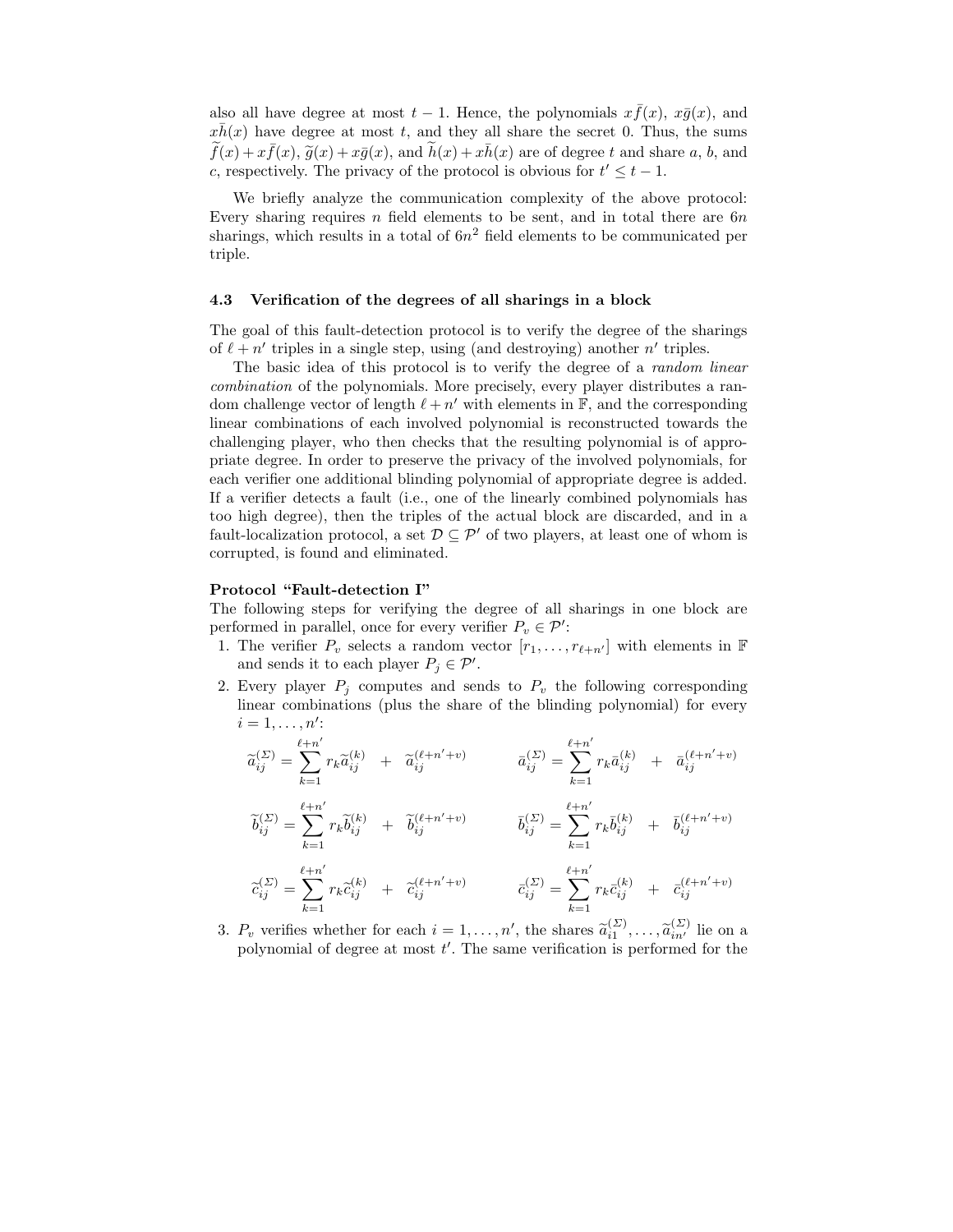also all have degree at most  $t-1$ . Hence, the polynomials  $x\bar{f}(x)$ ,  $x\bar{q}(x)$ , and  $xh(x)$  have degree at most t, and they all share the secret 0. Thus, the sums  $\tilde{f}(x) + x\bar{f}(x), \tilde{g}(x) + x\bar{g}(x)$ , and  $\tilde{h}(x) + x\bar{h}(x)$  are of degree t and share a, b, and c, respectively. The privacy of the protocol is obvious for  $t' \leq t - 1$ .

We briefly analyze the communication complexity of the above protocol: Every sharing requires n field elements to be sent, and in total there are  $6n$ sharings, which results in a total of  $6n^2$  field elements to be communicated per triple.

#### 4.3 Verification of the degrees of all sharings in a block

The goal of this fault-detection protocol is to verify the degree of the sharings of  $\ell + n'$  triples in a single step, using (and destroying) another n' triples.

The basic idea of this protocol is to verify the degree of a random linear combination of the polynomials. More precisely, every player distributes a random challenge vector of length  $\ell + n'$  with elements in  $\mathbb{F}$ , and the corresponding linear combinations of each involved polynomial is reconstructed towards the challenging player, who then checks that the resulting polynomial is of appropriate degree. In order to preserve the privacy of the involved polynomials, for each verifier one additional blinding polynomial of appropriate degree is added. If a verifier detects a fault (i.e., one of the linearly combined polynomials has too high degree), then the triples of the actual block are discarded, and in a fault-localization protocol, a set  $\mathcal{D} \subseteq \mathcal{P}'$  of two players, at least one of whom is corrupted, is found and eliminated.

#### Protocol "Fault-detection I"

The following steps for verifying the degree of all sharings in one block are performed in parallel, once for every verifier  $P_v \in \mathcal{P}'$ :

- 1. The verifier  $P_v$  selects a random vector  $[r_1, \ldots, r_{\ell+n'} ]$  with elements in F and sends it to each player  $P_j \in \mathcal{P}'$ .
- 2. Every player  $P_j$  computes and sends to  $P_v$  the following corresponding linear combinations (plus the share of the blinding polynomial) for every  $i=1,\ldots,n'$ :

$$
\widetilde{a}_{ij}^{(\varSigma)} = \sum_{k=1}^{\ell+n'} r_k \widetilde{a}_{ij}^{(k)} + \widetilde{a}_{ij}^{(\ell+n'+v)} \qquad \bar{a}_{ij}^{(\varSigma)} = \sum_{k=1}^{\ell+n'} r_k \bar{a}_{ij}^{(k)} + \bar{a}_{ij}^{(\ell+n'+v)}
$$
\n
$$
\widetilde{b}_{ij}^{(\varSigma)} = \sum_{k=1}^{\ell+n'} r_k \widetilde{b}_{ij}^{(k)} + \widetilde{b}_{ij}^{(\ell+n'+v)} \qquad \bar{b}_{ij}^{(\varSigma)} = \sum_{k=1}^{\ell+n'} r_k \bar{b}_{ij}^{(k)} + \bar{b}_{ij}^{(\ell+n'+v)}
$$
\n
$$
\widetilde{c}_{ij}^{(\varSigma)} = \sum_{k=1}^{\ell+n'} r_k \widetilde{c}_{ij}^{(k)} + \widetilde{c}_{ij}^{(\ell+n'+v)} \qquad \bar{c}_{ij}^{(\varSigma)} = \sum_{k=1}^{\ell+n'} r_k \bar{c}_{ij}^{(k)} + \bar{c}_{ij}^{(\ell+n'+v)}
$$

3.  $P_v$  verifies whether for each  $i = 1, \ldots, n'$ , the shares  $\tilde{a}_{i_1}^{(\varSigma)}, \ldots, \tilde{a}_{i_{n'}}^{(\varSigma)}$  lie on a polynomial of degree at most  $t'$ . The same verification is performed for the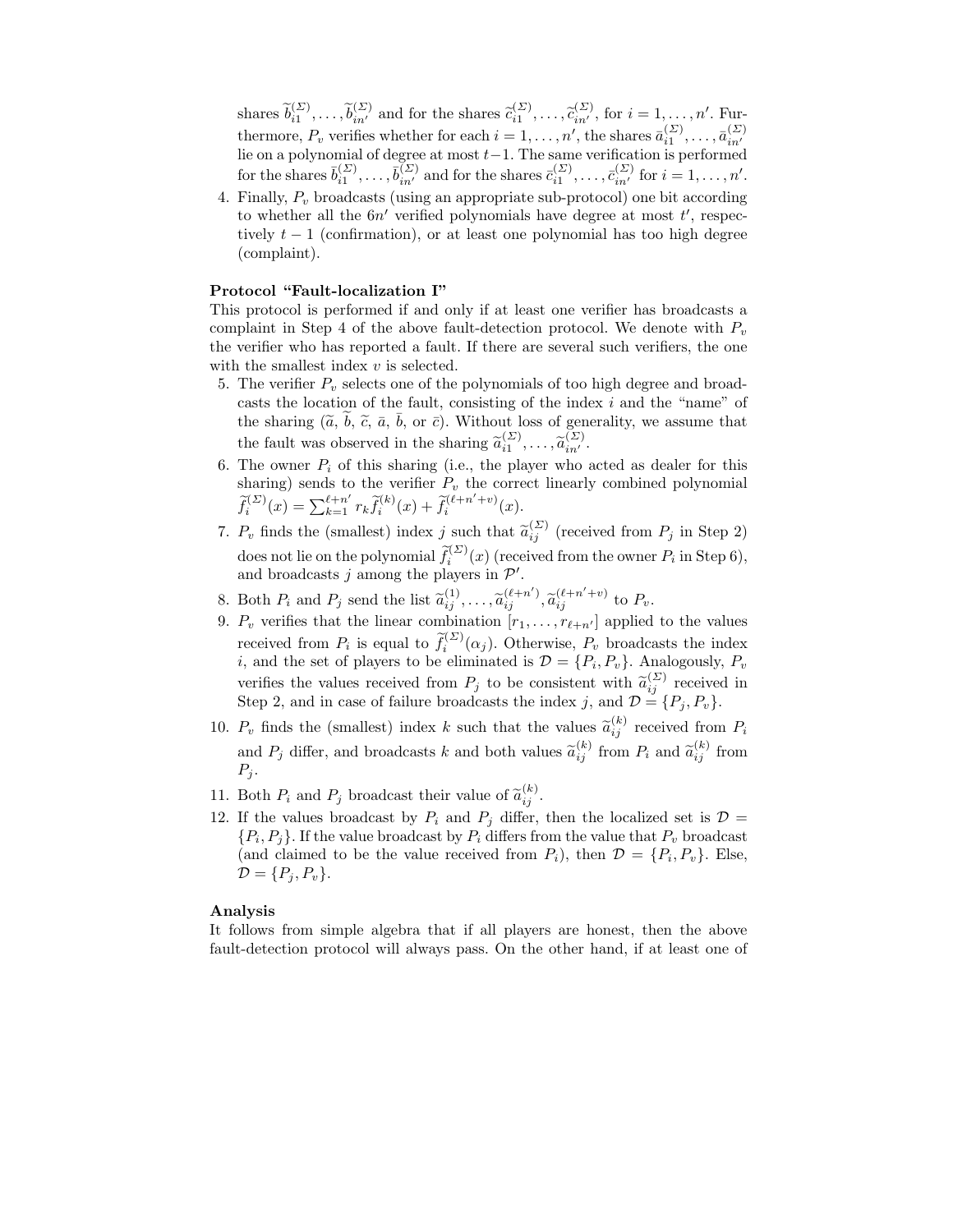shares  $\tilde{b}_{i1}^{(\varSigma)}, \ldots, \tilde{b}_{in'}^{(\varSigma)}$  and for the shares  $\tilde{c}_{i1}^{(\varSigma)}, \ldots, \tilde{c}_{in'}^{(\varSigma)}$ , for  $i = 1, \ldots, n'$ . Furthermore,  $P_v$  verifies whether for each  $i = 1, \ldots, n'$ , the shares  $\bar{a}_{i1}^{(\varSigma)}, \ldots, \bar{a}_{in'}^{(\varSigma)}$ lie on a polynomial of degree at most t−1. The same verification is performed for the shares  $\bar{b}_{i1}^{(\varSigma)}, \ldots, \bar{b}_{in'}^{(\varSigma)}$  and for the shares  $\bar{c}_{i1}^{(\varSigma)}, \ldots, \bar{c}_{in'}^{(\varSigma)}$  for  $i = 1, \ldots, n'$ .

4. Finally,  $P<sub>v</sub>$  broadcasts (using an appropriate sub-protocol) one bit according to whether all the  $6n'$  verified polynomials have degree at most  $t'$ , respectively  $t-1$  (confirmation), or at least one polynomial has too high degree (complaint).

#### Protocol "Fault-localization I"

This protocol is performed if and only if at least one verifier has broadcasts a complaint in Step 4 of the above fault-detection protocol. We denote with  $P_v$ the verifier who has reported a fault. If there are several such verifiers, the one with the smallest index  $v$  is selected.

- 5. The verifier  $P_v$  selects one of the polynomials of too high degree and broadcasts the location of the fault, consisting of the index  $i$  and the "name" of the sharing  $(\tilde{a}, \tilde{b}, \tilde{c}, \bar{a}, \bar{b}, \text{ or } \bar{c})$ . Without loss of generality, we assume that the fault was observed in the sharing  $\tilde{a}_{i1}^{(\Sigma)}, \ldots, \tilde{a}_{in'}^{(\Sigma)}$ .
- 6. The owner  $P_i$  of this sharing (i.e., the player who acted as dealer for this sharing) sends to the verifier  $P_v$  the correct linearly combined polynomial  $\widetilde{f}_i^{(\varSigma)}(x) = \sum_{k=1}^{\ell+n'} r_k \widetilde{f}_i^{(k)}(x) + \widetilde{f}_i^{(\ell+n'+v)}(x).$
- 7.  $P_v$  finds the (smallest) index j such that  $\tilde{a}_{ij}^{(\Sigma)}$  (received from  $P_j$  in Step 2) does not lie on the polynomial  $\tilde{f}_i^{(\varSigma)}(x)$  (received from the owner  $P_i$  in Step 6), and broadcasts j among the players in  $\mathcal{P}'$ .
- 8. Both  $P_i$  and  $P_j$  send the list  $\tilde{a}_{ij}^{(1)}, \ldots, \tilde{a}_{ij}^{(\ell+n')}, \tilde{a}_{ij}^{(\ell+n'+v)}$  to  $P_v$ .
- 9.  $P_v$  verifies that the linear combination  $[r_1, \ldots, r_{\ell+n'}]$  applied to the values received from  $P_i$  is equal to  $\tilde{f}_i^{(\Sigma)}(\alpha_j)$ . Otherwise,  $P_v$  broadcasts the index *i*, and the set of players to be eliminated is  $\mathcal{D} = \{P_i, P_v\}$ . Analogously,  $P_v$ verifies the values received from  $P_j$  to be consistent with  $\tilde{a}_{ij}^{(\Sigma)}$  received in Step 2, and in case of failure broadcasts the index j, and  $\mathcal{D} = \{P_j, P_v\}.$
- 10.  $P_v$  finds the (smallest) index k such that the values  $\tilde{a}_{ij}^{(k)}$  received from  $P_i$ and  $P_j$  differ, and broadcasts k and both values  $\tilde{a}_{ij}^{(k)}$  from  $P_i$  and  $\tilde{a}_{ij}^{(k)}$  from  $P_i$ .
- 11. Both  $P_i$  and  $P_j$  broadcast their value of  $\tilde{a}_{ij}^{(k)}$ .
- 12. If the values broadcast by  $P_i$  and  $P_j$  differ, then the localized set is  $\mathcal{D} =$  $\{P_i, P_j\}$ . If the value broadcast by  $P_i$  differs from the value that  $P_v$  broadcast (and claimed to be the value received from  $P_i$ ), then  $\mathcal{D} = \{P_i, P_v\}$ . Else,  $\mathcal{D} = \{P_i, P_v\}.$

#### Analysis

It follows from simple algebra that if all players are honest, then the above fault-detection protocol will always pass. On the other hand, if at least one of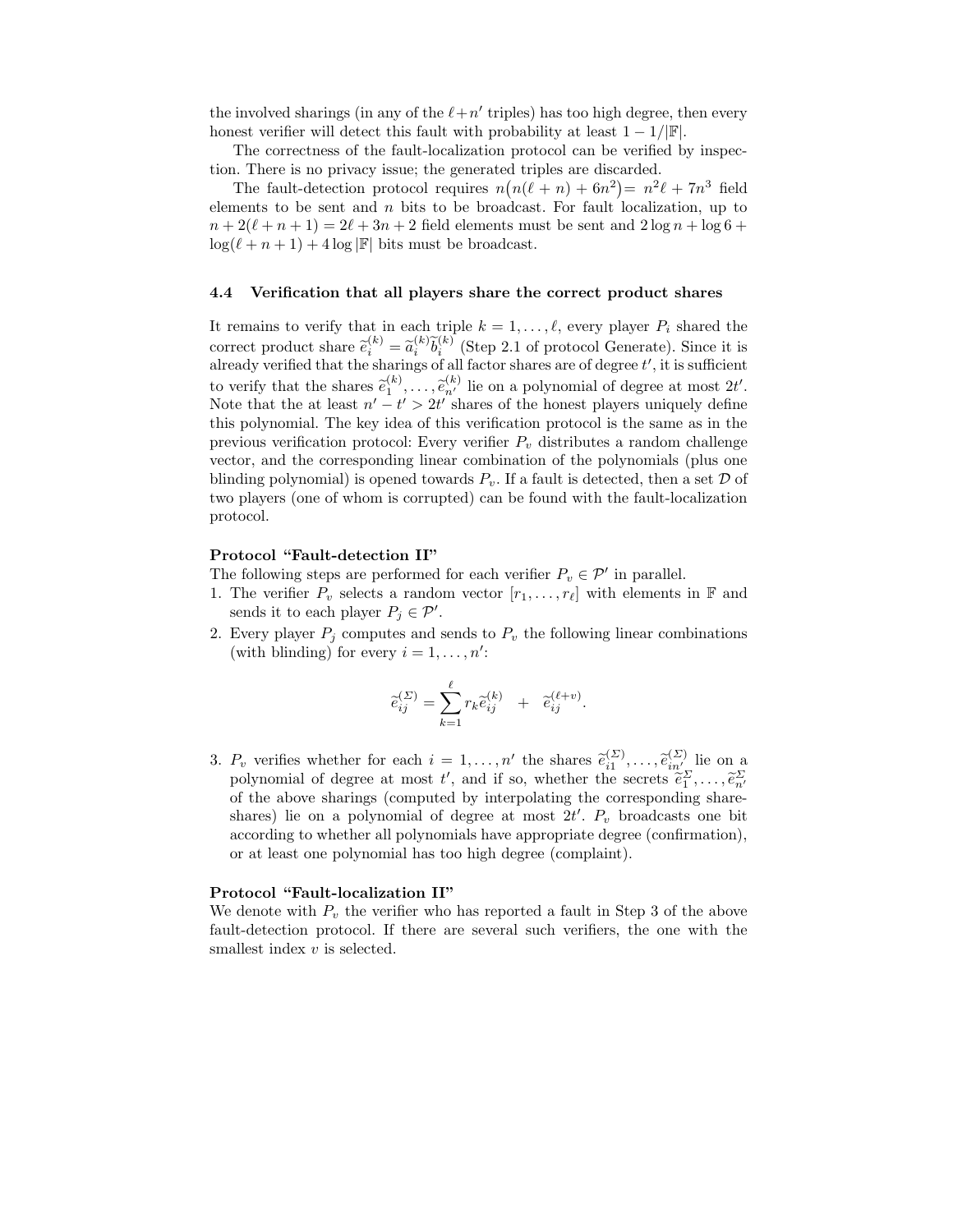the involved sharings (in any of the  $l+n'$  triples) has too high degree, then every honest verifier will detect this fault with probability at least  $1 - 1/|\mathbb{F}|$ .

The correctness of the fault-localization protocol can be verified by inspection. There is no privacy issue; the generated triples are discarded.

The fault-detection protocol requires  $n(n(\ell + n) + 6n^2) = n^2\ell + 7n^3$  field elements to be sent and  $n$  bits to be broadcast. For fault localization, up to  $n + 2(\ell + n + 1) = 2\ell + 3n + 2$  field elements must be sent and  $2\log n + \log 6 +$  $\log(\ell + n + 1) + 4 \log |\mathbb{F}|$  bits must be broadcast.

#### 4.4 Verification that all players share the correct product shares

It remains to verify that in each triple  $k = 1, \ldots, \ell$ , every player  $P_i$  shared the correct product share  $\tilde{e}_i^{(k)} = \tilde{a}_i^{(k)} \tilde{b}_i^{(k)}$  (Step 2.1 of protocol Generate). Since it is already verified that the sharings of all factor shares are of degree  $t'$ , it is sufficient to verify that the shares  $\tilde{e}_1^{(k)}, \ldots, \tilde{e}_{n'}^{(k)}$  lie on a polynomial of degree at most  $2t'$ . Note that the at least  $n'-t' > 2t''$  shares of the honest players uniquely define this polynomial. The key idea of this verification protocol is the same as in the previous verification protocol: Every verifier  $P<sub>v</sub>$  distributes a random challenge vector, and the corresponding linear combination of the polynomials (plus one blinding polynomial) is opened towards  $P_v$ . If a fault is detected, then a set  $\mathcal D$  of two players (one of whom is corrupted) can be found with the fault-localization protocol.

#### Protocol "Fault-detection II"

The following steps are performed for each verifier  $P_v \in \mathcal{P}'$  in parallel.

- 1. The verifier  $P_v$  selects a random vector  $[r_1, \ldots, r_\ell]$  with elements in F and sends it to each player  $P_j \in \mathcal{P}'$ .
- 2. Every player  $P_i$  computes and sends to  $P_v$  the following linear combinations (with blinding) for every  $i = 1, \ldots, n'$ :

$$
\widetilde{e}_{ij}^{(\varSigma)} = \sum_{k=1}^{\ell} r_k \widetilde{e}_{ij}^{(k)} + \widetilde{e}_{ij}^{(\ell+v)}.
$$

3.  $P_v$  verifies whether for each  $i = 1, \ldots, n'$  the shares  $\tilde{e}_{i1}^{(\varSigma)}, \ldots, \tilde{e}_{in'_{\varSigma}}^{(\varSigma)}$  lie on a polynomial of degree at most t', and if so, whether the secrets  $\tilde{e}_1^{\Sigma}, \ldots, \tilde{e}_{n'}^{\Sigma}$ of the above sharings (computed by interpolating the corresponding shareshares) lie on a polynomial of degree at most  $2t'$ .  $P_v$  broadcasts one bit according to whether all polynomials have appropriate degree (confirmation), or at least one polynomial has too high degree (complaint).

#### Protocol "Fault-localization II"

We denote with  $P_v$  the verifier who has reported a fault in Step 3 of the above fault-detection protocol. If there are several such verifiers, the one with the smallest index  $v$  is selected.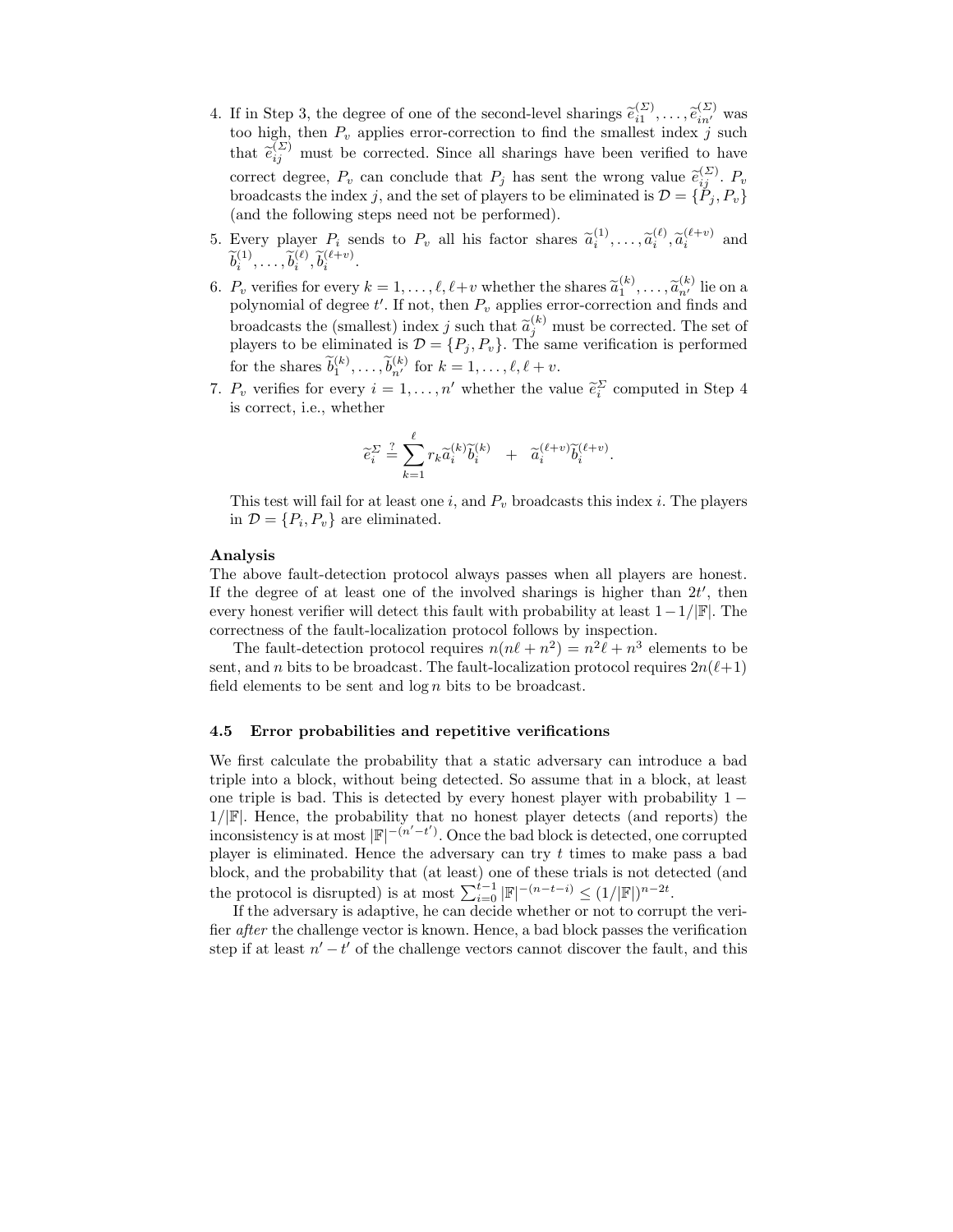- 4. If in Step 3, the degree of one of the second-level sharings  $\tilde{e}_{i1}^{(\Sigma)}, \ldots, \tilde{e}_{in'}^{(\Sigma)}$  was too high, then  $P_v$  applies error-correction to find the smallest index j such that  $\hat{e}_{ij}^{(\Sigma)}$  must be corrected. Since all sharings have been verified to have correct degree,  $P_v$  can conclude that  $P_j$  has sent the wrong value  $\tilde{e}_{ij}^{(\Sigma)}$ .  $P_v$ broadcasts the index j, and the set of players to be eliminated is  $\mathcal{D} = \{P_j, P_v\}$ (and the following steps need not be performed).
- 5. Every player  $P_i$  sends to  $P_v$  all his factor shares  $\tilde{a}_i^{(1)}, \ldots, \tilde{a}_i^{(\ell)}, \tilde{a}_i^{(\ell+v)}$  and  $\widetilde{b}_i^{(1)}, \ldots, \widetilde{b}_i^{(\ell)}, \widetilde{b}_i^{(\ell+v)}.$
- 6.  $P_v$  verifies for every  $k = 1, \ldots, \ell, \ell+v$  whether the shares  $\tilde{a}_1^{(k)}, \ldots, \tilde{a}_{n'}^{(k)}$  lie on a polynomial of degree  $t'$ . If not, then  $P_v$  applies error-correction and finds and broadcasts the (smallest) index j such that  $\tilde{a}_j^{(k)}$  must be corrected. The set of players to be eliminated is  $\mathcal{D} = \{P_j, P_v\}$ . The same verification is performed for the shares  $\tilde{b}_1^{(k)}, \ldots, \tilde{b}_{n'}^{(k)}$  for  $k = 1, \ldots, \ell, \ell + v$ .
- 7.  $P_v$  verifies for every  $i = 1, ..., n'$  whether the value  $\tilde{e}_i^{\Sigma}$  computed in Step 4 is correct, i.e., whether

$$
\widetilde{e}_i^{\Sigma} \stackrel{?}{=} \sum_{k=1}^{\ell} r_k \widetilde{a}_i^{(k)} \widetilde{b}_i^{(k)} \quad + \quad \widetilde{a}_i^{(\ell+v)} \widetilde{b}_i^{(\ell+v)}.
$$

This test will fail for at least one i, and  $P<sub>v</sub>$  broadcasts this index i. The players in  $\mathcal{D} = \{P_i, P_v\}$  are eliminated.

#### Analysis

The above fault-detection protocol always passes when all players are honest. If the degree of at least one of the involved sharings is higher than  $2t'$ , then every honest verifier will detect this fault with probability at least  $1-1/|F|$ . The correctness of the fault-localization protocol follows by inspection.

The fault-detection protocol requires  $n(n\ell + n^2) = n^2\ell + n^3$  elements to be sent, and n bits to be broadcast. The fault-localization protocol requires  $2n(\ell+1)$ field elements to be sent and  $\log n$  bits to be broadcast.

#### 4.5 Error probabilities and repetitive verifications

We first calculate the probability that a static adversary can introduce a bad triple into a block, without being detected. So assume that in a block, at least one triple is bad. This is detected by every honest player with probability  $1 1/|F|$ . Hence, the probability that no honest player detects (and reports) the inconsistency is at most  $\left| \mathbb{F} \right|^{-(n'-t')}$ . Once the bad block is detected, one corrupted player is eliminated. Hence the adversary can try t times to make pass a bad block, and the probability that (at least) one of these trials is not detected (and the protocol is disrupted) is at most  $\sum_{i=0}^{t-1} |F|^{-(n-t-i)} \leq (1/|F|)^{n-2t}$ .

If the adversary is adaptive, he can decide whether or not to corrupt the verifier after the challenge vector is known. Hence, a bad block passes the verification step if at least  $n' - t'$  of the challenge vectors cannot discover the fault, and this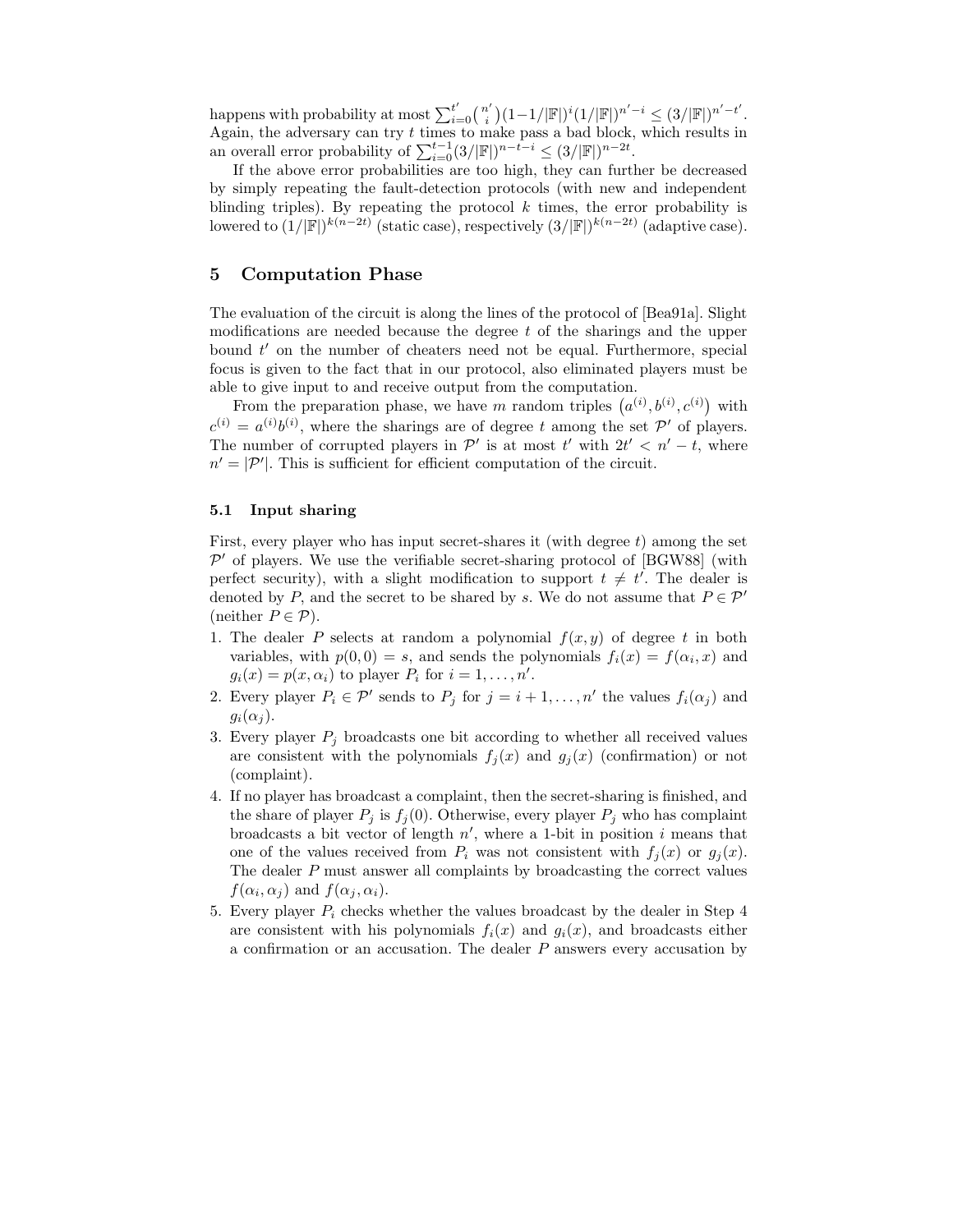happens with probability at most  $\sum_{i=0}^{t'} \binom{n'}{i}$  $\binom{n'}{i}(1-1/|\mathbb{F}|)^i(1/|\mathbb{F}|)^{n'-i} \leq (3/|\mathbb{F}|)^{n'-t'}.$ Again, the adversary can try t times to make pass a bad block, which results in an overall error probability of  $\sum_{i=0}^{t-1} (3/|\mathbb{F}|)^{n-t-i} \leq (3/|\mathbb{F}|)^{n-2t}$ .

If the above error probabilities are too high, they can further be decreased by simply repeating the fault-detection protocols (with new and independent blinding triples). By repeating the protocol  $k$  times, the error probability is lowered to  $(1/|\mathbb{F}|)^{k(n-2t)}$  (static case), respectively  $(3/|\mathbb{F}|)^{k(n-2t)}$  (adaptive case).

# 5 Computation Phase

The evaluation of the circuit is along the lines of the protocol of [Bea91a]. Slight modifications are needed because the degree  $t$  of the sharings and the upper bound  $t'$  on the number of cheaters need not be equal. Furthermore, special focus is given to the fact that in our protocol, also eliminated players must be able to give input to and receive output from the computation.

From the preparation phase, we have m random triples  $(a^{(i)}, b^{(i)}, c^{(i)})$  with  $c^{(i)} = a^{(i)}b^{(i)}$ , where the sharings are of degree t among the set  $\mathcal{P}'$  of players. The number of corrupted players in  $\mathcal{P}'$  is at most t' with  $2t' < n' - t$ , where  $n' = |\mathcal{P}'|$ . This is sufficient for efficient computation of the circuit.

#### 5.1 Input sharing

First, every player who has input secret-shares it (with degree  $t$ ) among the set  $P'$  of players. We use the verifiable secret-sharing protocol of [BGW88] (with perfect security), with a slight modification to support  $t \neq t'$ . The dealer is denoted by P, and the secret to be shared by s. We do not assume that  $P \in \mathcal{P}'$ (neither  $P \in \mathcal{P}$ ).

- 1. The dealer P selects at random a polynomial  $f(x, y)$  of degree t in both variables, with  $p(0,0) = s$ , and sends the polynomials  $f_i(x) = f(\alpha_i, x)$  and  $g_i(x) = p(x, \alpha_i)$  to player  $P_i$  for  $i = 1, \ldots, n'$ .
- 2. Every player  $P_i \in \mathcal{P}'$  sends to  $P_j$  for  $j = i + 1, ..., n'$  the values  $f_i(\alpha_j)$  and  $g_i(\alpha_j)$ .
- 3. Every player  $P_i$  broadcasts one bit according to whether all received values are consistent with the polynomials  $f_i(x)$  and  $g_i(x)$  (confirmation) or not (complaint).
- 4. If no player has broadcast a complaint, then the secret-sharing is finished, and the share of player  $P_i$  is  $f_i(0)$ . Otherwise, every player  $P_i$  who has complaint broadcasts a bit vector of length  $n'$ , where a 1-bit in position i means that one of the values received from  $P_i$  was not consistent with  $f_i(x)$  or  $g_i(x)$ . The dealer P must answer all complaints by broadcasting the correct values  $f(\alpha_i, \alpha_j)$  and  $f(\alpha_j, \alpha_i)$ .
- 5. Every player  $P_i$  checks whether the values broadcast by the dealer in Step 4 are consistent with his polynomials  $f_i(x)$  and  $g_i(x)$ , and broadcasts either a confirmation or an accusation. The dealer  $P$  answers every accusation by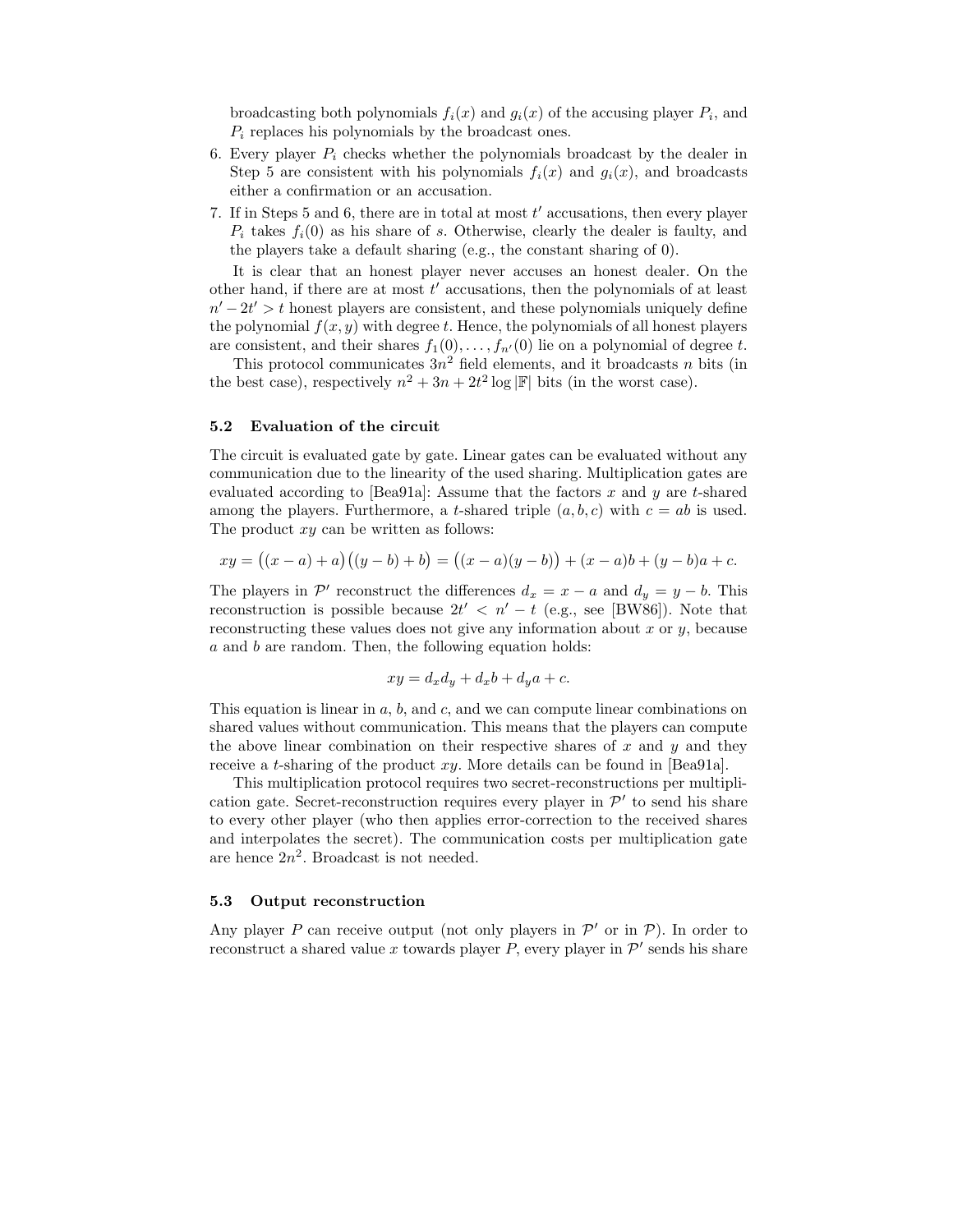broadcasting both polynomials  $f_i(x)$  and  $g_i(x)$  of the accusing player  $P_i$ , and  $P_i$  replaces his polynomials by the broadcast ones.

- 6. Every player  $P_i$  checks whether the polynomials broadcast by the dealer in Step 5 are consistent with his polynomials  $f_i(x)$  and  $g_i(x)$ , and broadcasts either a confirmation or an accusation.
- 7. If in Steps 5 and 6, there are in total at most  $t'$  accusations, then every player  $P_i$  takes  $f_i(0)$  as his share of s. Otherwise, clearly the dealer is faulty, and the players take a default sharing (e.g., the constant sharing of 0).

It is clear that an honest player never accuses an honest dealer. On the other hand, if there are at most  $t'$  accusations, then the polynomials of at least  $n'-2t' > t$  honest players are consistent, and these polynomials uniquely define the polynomial  $f(x, y)$  with degree t. Hence, the polynomials of all honest players are consistent, and their shares  $f_1(0), \ldots, f_{n'}(0)$  lie on a polynomial of degree t.

This protocol communicates  $3n^2$  field elements, and it broadcasts n bits (in the best case), respectively  $n^2 + 3n + 2t^2 \log |\mathbb{F}|$  bits (in the worst case).

#### 5.2 Evaluation of the circuit

The circuit is evaluated gate by gate. Linear gates can be evaluated without any communication due to the linearity of the used sharing. Multiplication gates are evaluated according to [Bea91a]: Assume that the factors x and y are t-shared among the players. Furthermore, a t-shared triple  $(a, b, c)$  with  $c = ab$  is used. The product  $xy$  can be written as follows:

$$
xy = ((x - a) + a)((y - b) + b) = ((x - a)(y - b)) + (x - a)b + (y - b)a + c.
$$

The players in  $\mathcal{P}'$  reconstruct the differences  $d_x = x - a$  and  $d_y = y - b$ . This reconstruction is possible because  $2t' < n' - t$  (e.g., see [BW86]). Note that reconstructing these values does not give any information about x or  $y$ , because  $a$  and  $b$  are random. Then, the following equation holds:

$$
xy = d_x d_y + d_x b + d_y a + c.
$$

This equation is linear in  $a, b$ , and  $c$ , and we can compute linear combinations on shared values without communication. This means that the players can compute the above linear combination on their respective shares of x and y and they receive a t-sharing of the product xy. More details can be found in [Bea91a].

This multiplication protocol requires two secret-reconstructions per multiplication gate. Secret-reconstruction requires every player in  $\mathcal{P}'$  to send his share to every other player (who then applies error-correction to the received shares and interpolates the secret). The communication costs per multiplication gate are hence  $2n^2$ . Broadcast is not needed.

#### 5.3 Output reconstruction

Any player P can receive output (not only players in  $\mathcal{P}'$  or in  $\mathcal{P}$ ). In order to reconstruct a shared value x towards player  $P$ , every player in  $P'$  sends his share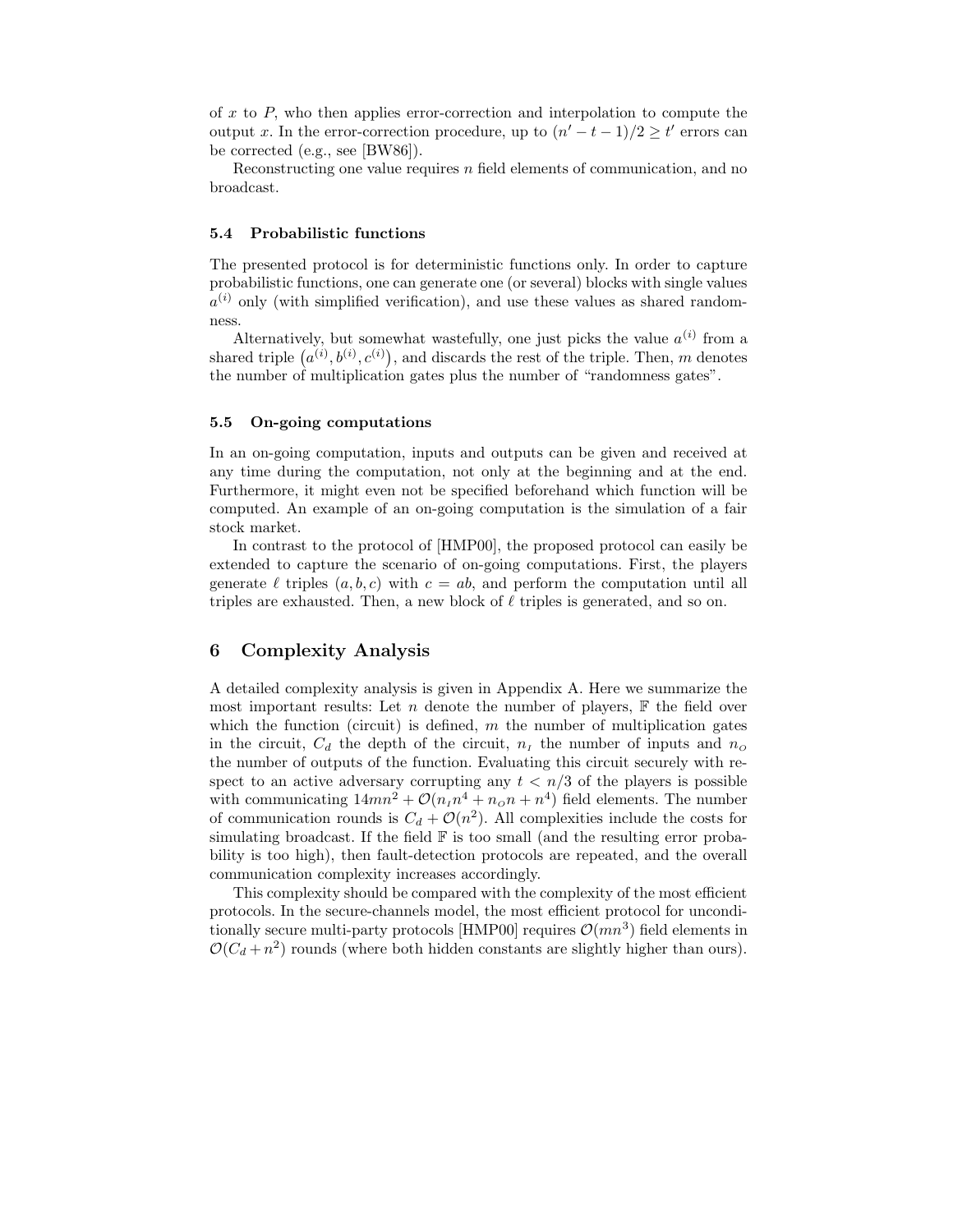of  $x$  to  $P$ , who then applies error-correction and interpolation to compute the output x. In the error-correction procedure, up to  $(n'-t-1)/2 \geq t'$  errors can be corrected (e.g., see [BW86]).

Reconstructing one value requires  $n$  field elements of communication, and no broadcast.

#### 5.4 Probabilistic functions

The presented protocol is for deterministic functions only. In order to capture probabilistic functions, one can generate one (or several) blocks with single values  $a^{(i)}$  only (with simplified verification), and use these values as shared randomness.

Alternatively, but somewhat wastefully, one just picks the value  $a^{(i)}$  from a shared triple  $(a^{(i)}, b^{(i)}, c^{(i)})$ , and discards the rest of the triple. Then, m denotes the number of multiplication gates plus the number of "randomness gates".

#### 5.5 On-going computations

In an on-going computation, inputs and outputs can be given and received at any time during the computation, not only at the beginning and at the end. Furthermore, it might even not be specified beforehand which function will be computed. An example of an on-going computation is the simulation of a fair stock market.

In contrast to the protocol of [HMP00], the proposed protocol can easily be extended to capture the scenario of on-going computations. First, the players generate  $\ell$  triples  $(a, b, c)$  with  $c = ab$ , and perform the computation until all triples are exhausted. Then, a new block of  $\ell$  triples is generated, and so on.

# 6 Complexity Analysis

A detailed complexity analysis is given in Appendix A. Here we summarize the most important results: Let n denote the number of players,  $\mathbb F$  the field over which the function (circuit) is defined,  $m$  the number of multiplication gates in the circuit,  $C_d$  the depth of the circuit,  $n<sub>I</sub>$  the number of inputs and  $n<sub>O</sub>$ the number of outputs of the function. Evaluating this circuit securely with respect to an active adversary corrupting any  $t < n/3$  of the players is possible with communicating  $14mn^2 + \mathcal{O}(n_1 n^4 + n_0 n + n^4)$  field elements. The number of communication rounds is  $C_d + \mathcal{O}(n^2)$ . All complexities include the costs for simulating broadcast. If the field  $\mathbb F$  is too small (and the resulting error probability is too high), then fault-detection protocols are repeated, and the overall communication complexity increases accordingly.

This complexity should be compared with the complexity of the most efficient protocols. In the secure-channels model, the most efficient protocol for unconditionally secure multi-party protocols [HMP00] requires  $\mathcal{O}(mn^3)$  field elements in  $\mathcal{O}(C_d + n^2)$  rounds (where both hidden constants are slightly higher than ours).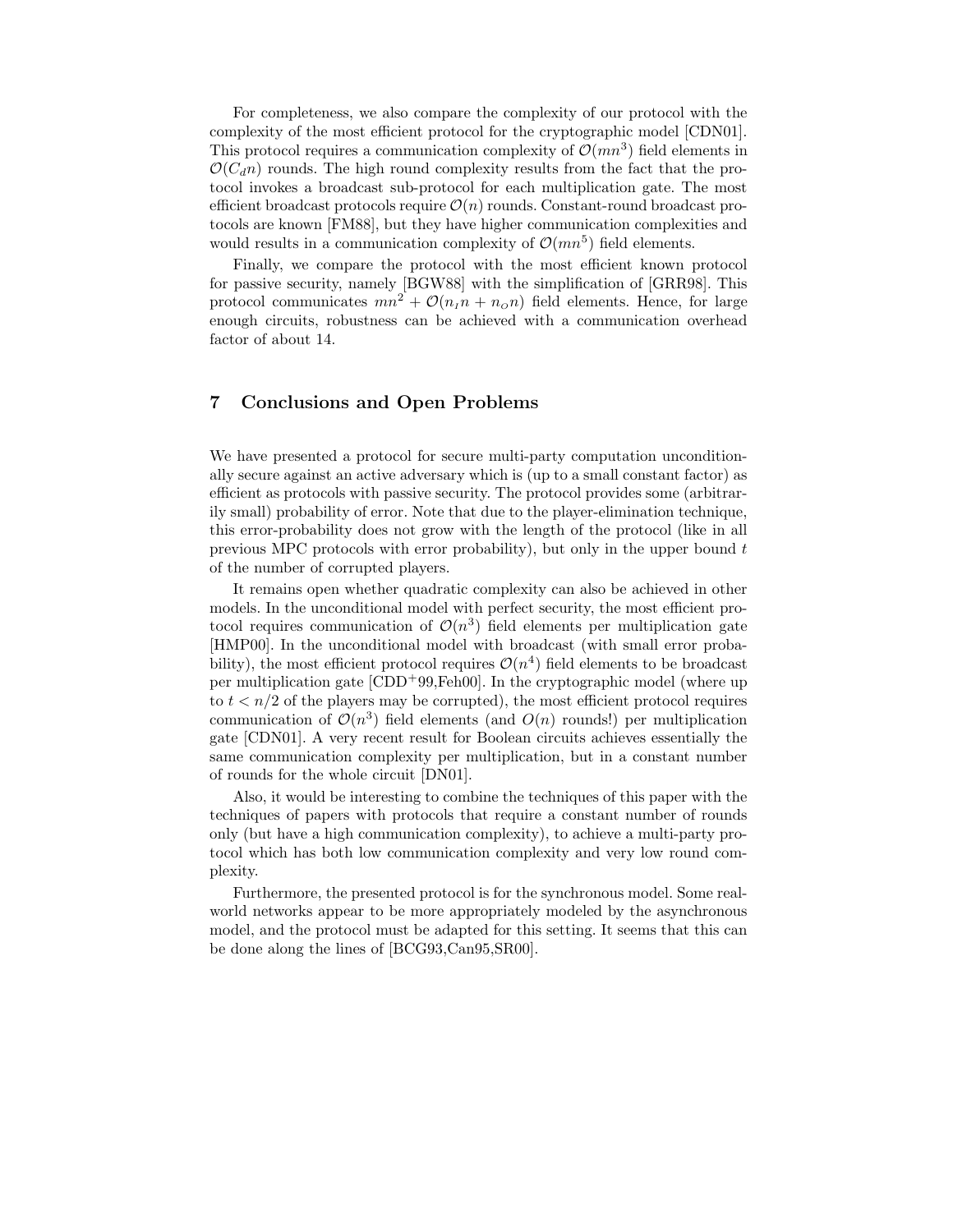For completeness, we also compare the complexity of our protocol with the complexity of the most efficient protocol for the cryptographic model [CDN01]. This protocol requires a communication complexity of  $\mathcal{O}(mn^3)$  field elements in  $\mathcal{O}(C_d n)$  rounds. The high round complexity results from the fact that the protocol invokes a broadcast sub-protocol for each multiplication gate. The most efficient broadcast protocols require  $\mathcal{O}(n)$  rounds. Constant-round broadcast protocols are known [FM88], but they have higher communication complexities and would results in a communication complexity of  $\mathcal{O}(mn^5)$  field elements.

Finally, we compare the protocol with the most efficient known protocol for passive security, namely [BGW88] with the simplification of [GRR98]. This protocol communicates  $mn^2 + \mathcal{O}(n_1 n + n_0 n)$  field elements. Hence, for large enough circuits, robustness can be achieved with a communication overhead factor of about 14.

# 7 Conclusions and Open Problems

We have presented a protocol for secure multi-party computation unconditionally secure against an active adversary which is (up to a small constant factor) as efficient as protocols with passive security. The protocol provides some (arbitrarily small) probability of error. Note that due to the player-elimination technique, this error-probability does not grow with the length of the protocol (like in all previous MPC protocols with error probability), but only in the upper bound  $t$ of the number of corrupted players.

It remains open whether quadratic complexity can also be achieved in other models. In the unconditional model with perfect security, the most efficient protocol requires communication of  $\mathcal{O}(n^3)$  field elements per multiplication gate [HMP00]. In the unconditional model with broadcast (with small error probability), the most efficient protocol requires  $\mathcal{O}(n^4)$  field elements to be broadcast per multiplication gate [CDD<sup>+</sup>99,Feh00]. In the cryptographic model (where up to  $t < n/2$  of the players may be corrupted), the most efficient protocol requires communication of  $\mathcal{O}(n^3)$  field elements (and  $\mathcal{O}(n)$  rounds!) per multiplication gate [CDN01]. A very recent result for Boolean circuits achieves essentially the same communication complexity per multiplication, but in a constant number of rounds for the whole circuit [DN01].

Also, it would be interesting to combine the techniques of this paper with the techniques of papers with protocols that require a constant number of rounds only (but have a high communication complexity), to achieve a multi-party protocol which has both low communication complexity and very low round complexity.

Furthermore, the presented protocol is for the synchronous model. Some realworld networks appear to be more appropriately modeled by the asynchronous model, and the protocol must be adapted for this setting. It seems that this can be done along the lines of [BCG93,Can95,SR00].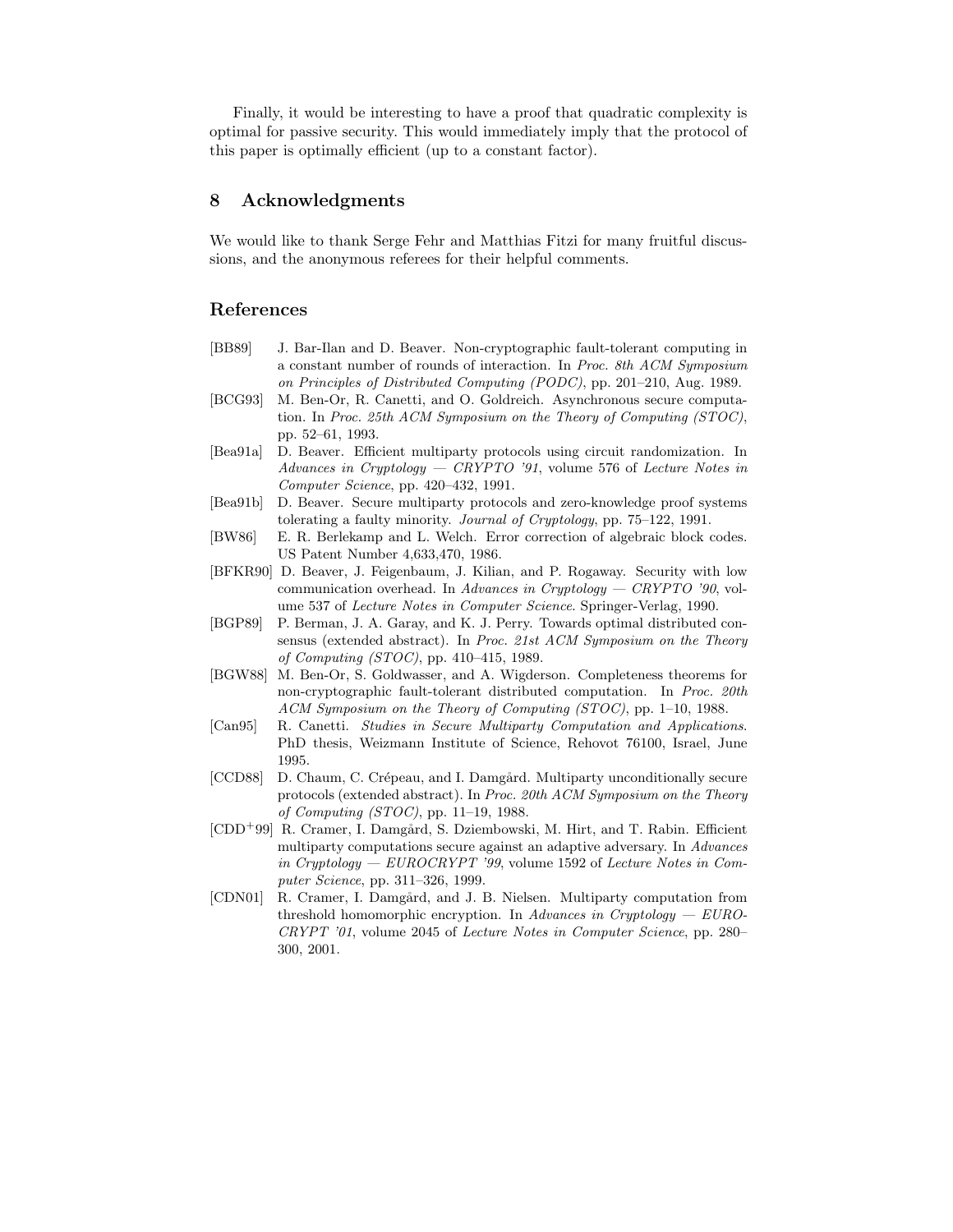Finally, it would be interesting to have a proof that quadratic complexity is optimal for passive security. This would immediately imply that the protocol of this paper is optimally efficient (up to a constant factor).

## 8 Acknowledgments

We would like to thank Serge Fehr and Matthias Fitzi for many fruitful discussions, and the anonymous referees for their helpful comments.

# References

- [BB89] J. Bar-Ilan and D. Beaver. Non-cryptographic fault-tolerant computing in a constant number of rounds of interaction. In Proc. 8th ACM Symposium on Principles of Distributed Computing (PODC), pp. 201–210, Aug. 1989.
- [BCG93] M. Ben-Or, R. Canetti, and O. Goldreich. Asynchronous secure computation. In Proc. 25th ACM Symposium on the Theory of Computing (STOC), pp. 52–61, 1993.
- [Bea91a] D. Beaver. Efficient multiparty protocols using circuit randomization. In Advances in Cryptology — CRYPTO '91, volume 576 of Lecture Notes in Computer Science, pp. 420–432, 1991.
- [Bea91b] D. Beaver. Secure multiparty protocols and zero-knowledge proof systems tolerating a faulty minority. Journal of Cryptology, pp. 75–122, 1991.
- [BW86] E. R. Berlekamp and L. Welch. Error correction of algebraic block codes. US Patent Number 4,633,470, 1986.
- [BFKR90] D. Beaver, J. Feigenbaum, J. Kilian, and P. Rogaway. Security with low communication overhead. In Advances in Cryptology — CRYPTO '90, volume 537 of Lecture Notes in Computer Science. Springer-Verlag, 1990.
- [BGP89] P. Berman, J. A. Garay, and K. J. Perry. Towards optimal distributed consensus (extended abstract). In Proc. 21st ACM Symposium on the Theory of Computing (STOC), pp. 410–415, 1989.
- [BGW88] M. Ben-Or, S. Goldwasser, and A. Wigderson. Completeness theorems for non-cryptographic fault-tolerant distributed computation. In Proc. 20th ACM Symposium on the Theory of Computing (STOC), pp. 1–10, 1988.
- [Can95] R. Canetti. Studies in Secure Multiparty Computation and Applications. PhD thesis, Weizmann Institute of Science, Rehovot 76100, Israel, June 1995.
- [CCD88] D. Chaum, C. Crépeau, and I. Damgård. Multiparty unconditionally secure protocols (extended abstract). In Proc. 20th ACM Symposium on the Theory of Computing (STOC), pp. 11–19, 1988.
- [CDD<sup>+</sup>99] R. Cramer, I. Damgård, S. Dziembowski, M. Hirt, and T. Rabin. Efficient multiparty computations secure against an adaptive adversary. In Advances in Cryptology — EUROCRYPT '99, volume 1592 of Lecture Notes in Computer Science, pp. 311–326, 1999.
- [CDN01] R. Cramer, I. Damgård, and J. B. Nielsen. Multiparty computation from threshold homomorphic encryption. In Advances in Cryptology  $-$  EURO-CRYPT '01, volume 2045 of Lecture Notes in Computer Science, pp. 280– 300, 2001.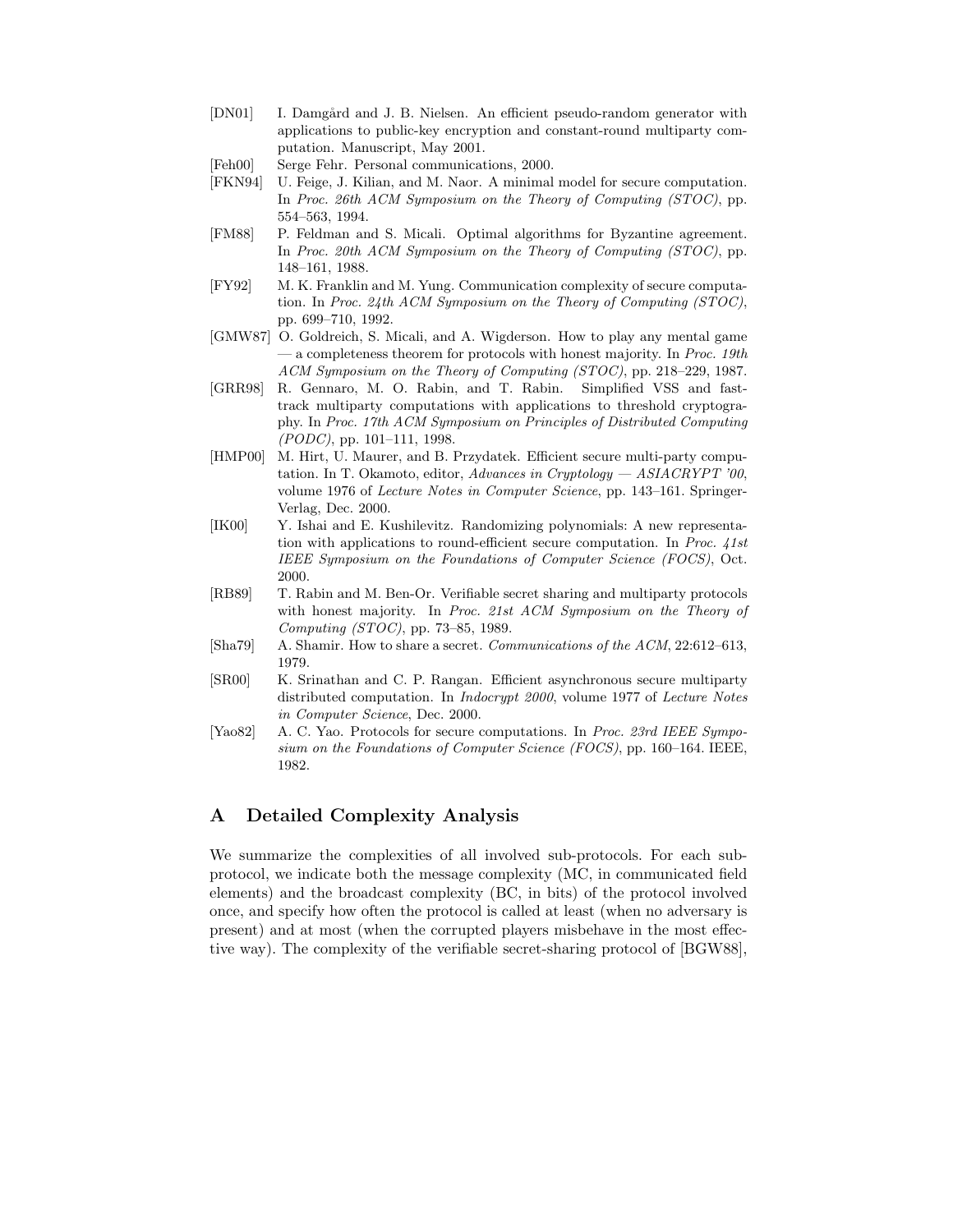- [DN01] I. Damgård and J. B. Nielsen. An efficient pseudo-random generator with applications to public-key encryption and constant-round multiparty computation. Manuscript, May 2001.
- [Feh00] Serge Fehr. Personal communications, 2000.
- [FKN94] U. Feige, J. Kilian, and M. Naor. A minimal model for secure computation. In Proc. 26th ACM Symposium on the Theory of Computing (STOC), pp. 554–563, 1994.
- [FM88] P. Feldman and S. Micali. Optimal algorithms for Byzantine agreement. In Proc. 20th ACM Symposium on the Theory of Computing (STOC), pp. 148–161, 1988.
- [FY92] M. K. Franklin and M. Yung. Communication complexity of secure computation. In Proc. 24th ACM Symposium on the Theory of Computing (STOC), pp. 699–710, 1992.
- [GMW87] O. Goldreich, S. Micali, and A. Wigderson. How to play any mental game  $\sim$  a completeness theorem for protocols with honest majority. In Proc. 19th ACM Symposium on the Theory of Computing (STOC), pp. 218–229, 1987.
- [GRR98] R. Gennaro, M. O. Rabin, and T. Rabin. Simplified VSS and fasttrack multiparty computations with applications to threshold cryptography. In Proc. 17th ACM Symposium on Principles of Distributed Computing  $(PODC)$ , pp. 101–111, 1998.
- [HMP00] M. Hirt, U. Maurer, and B. Przydatek. Efficient secure multi-party computation. In T. Okamoto, editor, Advances in Cryptology — ASIACRYPT '00, volume 1976 of Lecture Notes in Computer Science, pp. 143–161. Springer-Verlag, Dec. 2000.
- [IK00] Y. Ishai and E. Kushilevitz. Randomizing polynomials: A new representation with applications to round-efficient secure computation. In Proc.  $41st$ IEEE Symposium on the Foundations of Computer Science (FOCS), Oct. 2000.
- [RB89] T. Rabin and M. Ben-Or. Verifiable secret sharing and multiparty protocols with honest majority. In Proc. 21st ACM Symposium on the Theory of Computing (STOC), pp. 73–85, 1989.
- [Sha79] A. Shamir. How to share a secret. Communications of the ACM, 22:612–613, 1979.
- [SR00] K. Srinathan and C. P. Rangan. Efficient asynchronous secure multiparty distributed computation. In Indocrypt 2000, volume 1977 of Lecture Notes in Computer Science, Dec. 2000.
- [Yao82] A. C. Yao. Protocols for secure computations. In Proc. 23rd IEEE Symposium on the Foundations of Computer Science (FOCS), pp. 160–164. IEEE, 1982.

# A Detailed Complexity Analysis

We summarize the complexities of all involved sub-protocols. For each subprotocol, we indicate both the message complexity (MC, in communicated field elements) and the broadcast complexity (BC, in bits) of the protocol involved once, and specify how often the protocol is called at least (when no adversary is present) and at most (when the corrupted players misbehave in the most effective way). The complexity of the verifiable secret-sharing protocol of [BGW88],